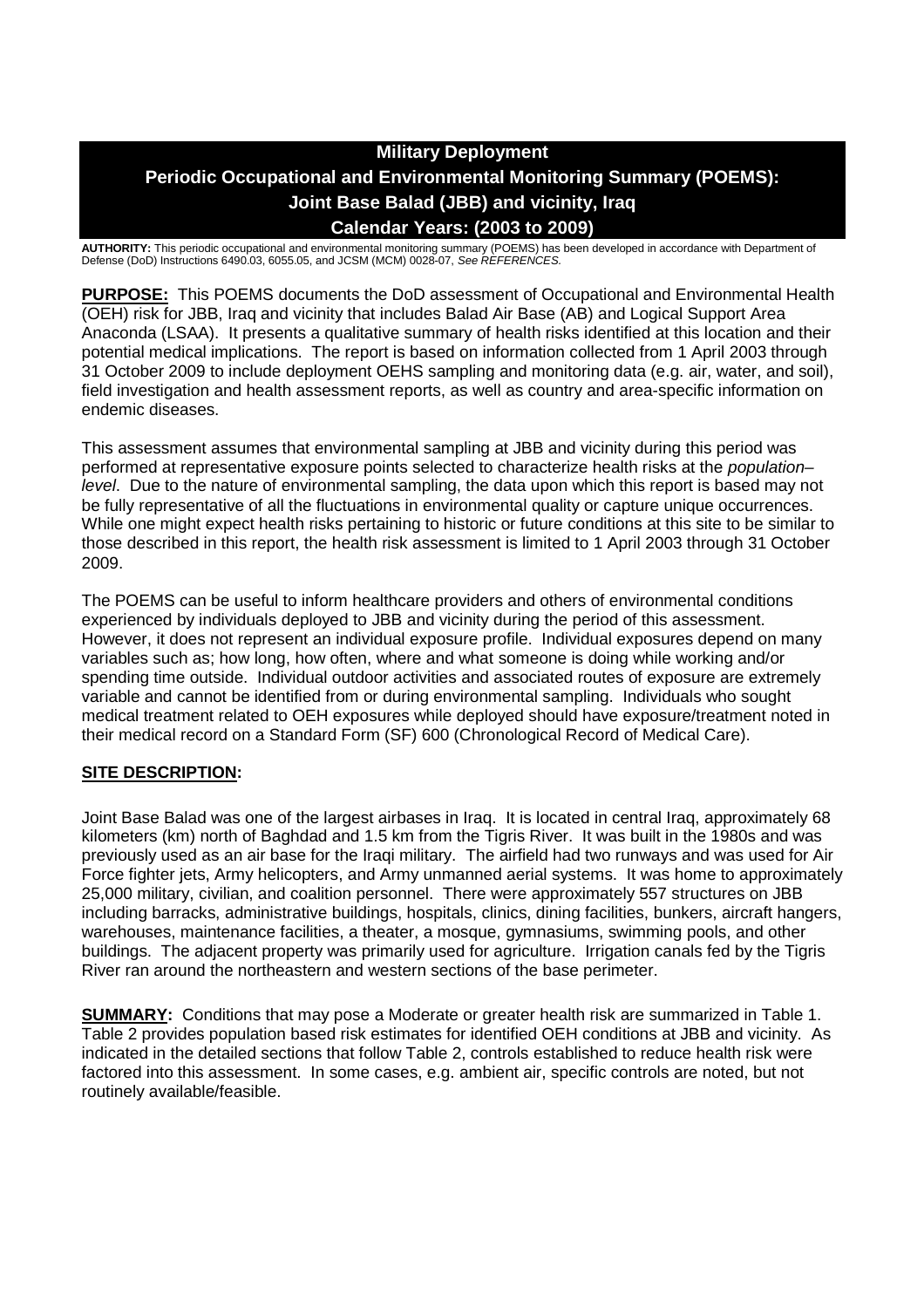# **Military Deployment Periodic Occupational and Environmental Monitoring Summary (POEMS): Joint Base Balad (JBB) and vicinity, Iraq Calendar Years: (2003 to 2009)**

**AUTHORITY:** This periodic occupational and environmental monitoring summary (POEMS) has been developed in accordance with Department of Defense (DoD) Instructions 6490.03, 6055.05, and JCSM (MCM) 0028-07, *See REFERENCES.*

**PURPOSE:** This POEMS documents the DoD assessment of Occupational and Environmental Health (OEH) risk for JBB, Iraq and vicinity that includes Balad Air Base (AB) and Logical Support Area Anaconda (LSAA). It presents a qualitative summary of health risks identified at this location and their potential medical implications. The report is based on information collected from 1 April 2003 through 31 October 2009 to include deployment OEHS sampling and monitoring data (e.g. air, water, and soil), field investigation and health assessment reports, as well as country and area-specific information on endemic diseases.

This assessment assumes that environmental sampling at JBB and vicinity during this period was performed at representative exposure points selected to characterize health risks at the *population– level*. Due to the nature of environmental sampling, the data upon which this report is based may not be fully representative of all the fluctuations in environmental quality or capture unique occurrences. While one might expect health risks pertaining to historic or future conditions at this site to be similar to those described in this report, the health risk assessment is limited to 1 April 2003 through 31 October 2009.

The POEMS can be useful to inform healthcare providers and others of environmental conditions experienced by individuals deployed to JBB and vicinity during the period of this assessment. However, it does not represent an individual exposure profile. Individual exposures depend on many variables such as; how long, how often, where and what someone is doing while working and/or spending time outside. Individual outdoor activities and associated routes of exposure are extremely variable and cannot be identified from or during environmental sampling. Individuals who sought medical treatment related to OEH exposures while deployed should have exposure/treatment noted in their medical record on a Standard Form (SF) 600 (Chronological Record of Medical Care).

# **SITE DESCRIPTION:**

Joint Base Balad was one of the largest airbases in Iraq. It is located in central Iraq, approximately 68 kilometers (km) north of Baghdad and 1.5 km from the Tigris River. It was built in the 1980s and was previously used as an air base for the Iraqi military. The airfield had two runways and was used for Air Force fighter jets, Army helicopters, and Army unmanned aerial systems. It was home to approximately 25,000 military, civilian, and coalition personnel. There were approximately 557 structures on JBB including barracks, administrative buildings, hospitals, clinics, dining facilities, bunkers, aircraft hangers, warehouses, maintenance facilities, a theater, a mosque, gymnasiums, swimming pools, and other buildings. The adjacent property was primarily used for agriculture. Irrigation canals fed by the Tigris River ran around the northeastern and western sections of the base perimeter.

**SUMMARY:** Conditions that may pose a Moderate or greater health risk are summarized in Table 1. Table 2 provides population based risk estimates for identified OEH conditions at JBB and vicinity. As indicated in the detailed sections that follow Table 2, controls established to reduce health risk were factored into this assessment. In some cases, e.g. ambient air, specific controls are noted, but not routinely available/feasible.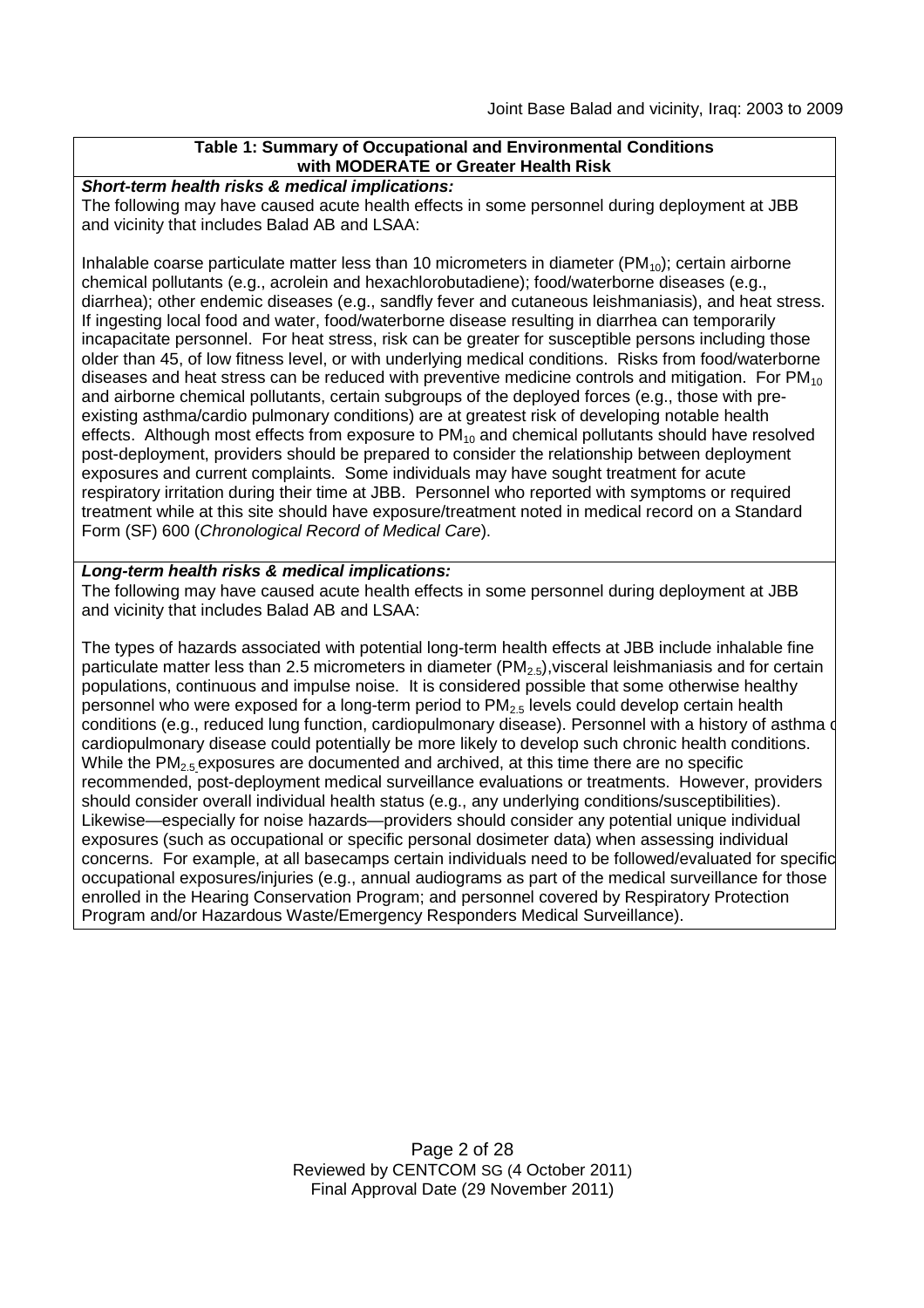# **Table 1: Summary of Occupational and Environmental Conditions with MODERATE or Greater Health Risk**

*Short-term health risks & medical implications:*

The following may have caused acute health effects in some personnel during deployment at JBB and vicinity that includes Balad AB and LSAA:

Inhalable coarse particulate matter less than 10 micrometers in diameter ( $PM_{10}$ ); certain airborne chemical pollutants (e.g., acrolein and hexachlorobutadiene); food/waterborne diseases (e.g., diarrhea); other endemic diseases (e.g., sandfly fever and cutaneous leishmaniasis), and heat stress. If ingesting local food and water, food/waterborne disease resulting in diarrhea can temporarily incapacitate personnel. For heat stress, risk can be greater for susceptible persons including those older than 45, of low fitness level, or with underlying medical conditions. Risks from food/waterborne diseases and heat stress can be reduced with preventive medicine controls and mitigation. For  $PM_{10}$ and airborne chemical pollutants, certain subgroups of the deployed forces (e.g., those with preexisting asthma/cardio pulmonary conditions) are at greatest risk of developing notable health effects. Although most effects from exposure to  $PM_{10}$  and chemical pollutants should have resolved post-deployment, providers should be prepared to consider the relationship between deployment exposures and current complaints. Some individuals may have sought treatment for acute respiratory irritation during their time at JBB. Personnel who reported with symptoms or required treatment while at this site should have exposure/treatment noted in medical record on a Standard Form (SF) 600 (*Chronological Record of Medical Care*).

#### *Long-term health risks & medical implications:*

The following may have caused acute health effects in some personnel during deployment at JBB and vicinity that includes Balad AB and LSAA:

The types of hazards associated with potential long-term health effects at JBB include inhalable fine particulate matter less than 2.5 micrometers in diameter  $(PM_{2.5})$ , visceral leishmaniasis and for certain populations, continuous and impulse noise. It is considered possible that some otherwise healthy personnel who were exposed for a long-term period to  $PM_{2.5}$  levels could develop certain health conditions (e.g., reduced lung function, cardiopulmonary disease). Personnel with a history of asthma or cardiopulmonary disease could potentially be more likely to develop such chronic health conditions. While the PM<sub>2.5</sub> exposures are documented and archived, at this time there are no specific recommended, post-deployment medical surveillance evaluations or treatments. However, providers should consider overall individual health status (e.g., any underlying conditions/susceptibilities). Likewise—especially for noise hazards—providers should consider any potential unique individual exposures (such as occupational or specific personal dosimeter data) when assessing individual concerns. For example, at all basecamps certain individuals need to be followed/evaluated for specific occupational exposures/injuries (e.g., annual audiograms as part of the medical surveillance for those enrolled in the Hearing Conservation Program; and personnel covered by Respiratory Protection Program and/or Hazardous Waste/Emergency Responders Medical Surveillance).

> Page 2 of 28 Reviewed by CENTCOM SG (4 October 2011) Final Approval Date (29 November 2011)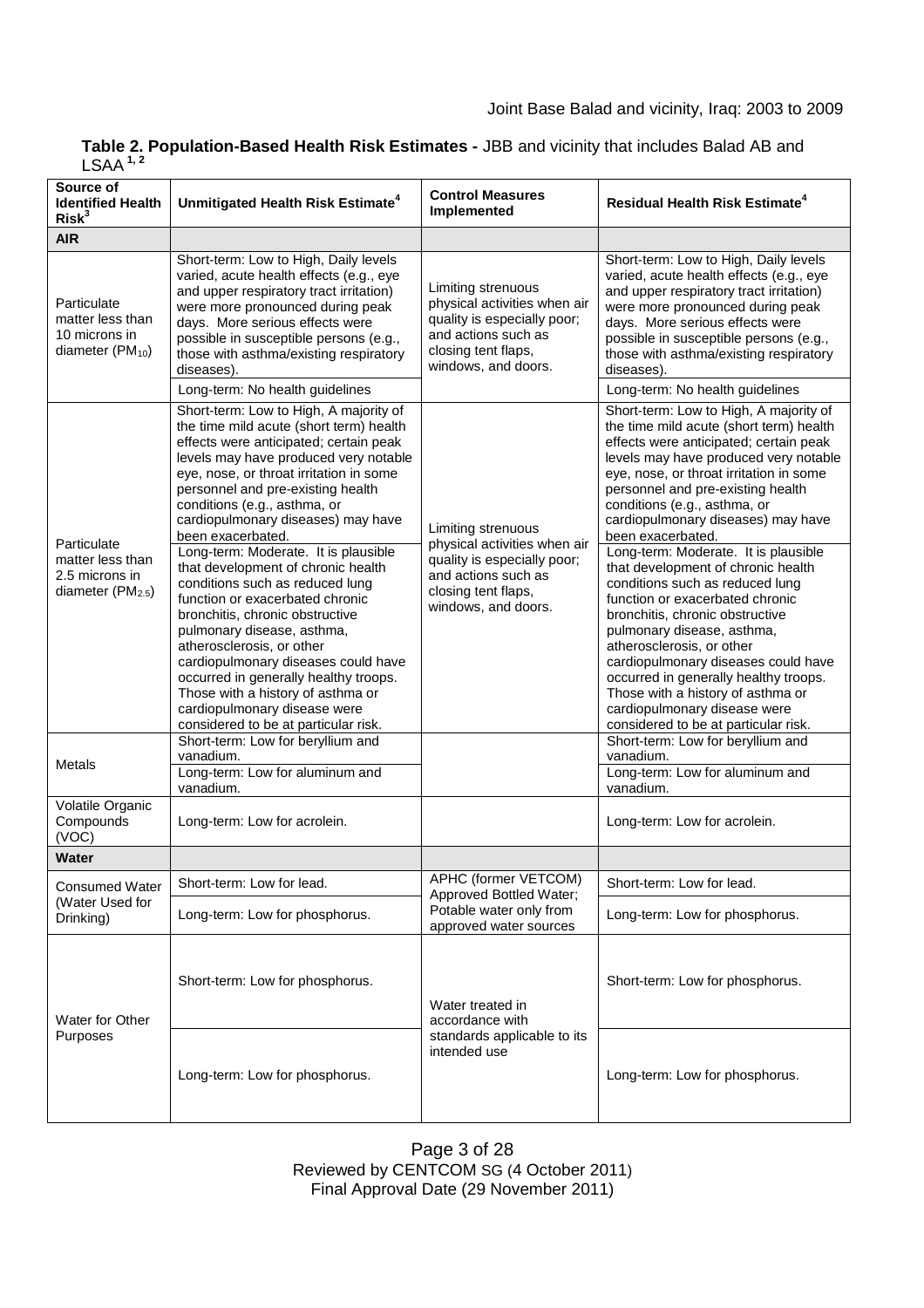| Table 2. Population-Based Health Risk Estimates - JBB and vicinity that includes Balad AB and |  |
|-----------------------------------------------------------------------------------------------|--|
| LSAA <sup>1,2</sup>                                                                           |  |

| Source of<br><b>Identified Health</b><br>Risk <sup>3</sup>                        | Unmitigated Health Risk Estimate <sup>4</sup>                                                                                                                                                                                                                                                                                                                                                                                                                                                                                                                                                                                                                                                                                                                                                                                             | <b>Control Measures</b><br>Implemented                                                                                                                 | <b>Residual Health Risk Estimate<sup>4</sup></b>                                                                                                                                                                                                                                                                                                                                                                                                                                                                                                                                                                                                                                                                                                                                                                                          |
|-----------------------------------------------------------------------------------|-------------------------------------------------------------------------------------------------------------------------------------------------------------------------------------------------------------------------------------------------------------------------------------------------------------------------------------------------------------------------------------------------------------------------------------------------------------------------------------------------------------------------------------------------------------------------------------------------------------------------------------------------------------------------------------------------------------------------------------------------------------------------------------------------------------------------------------------|--------------------------------------------------------------------------------------------------------------------------------------------------------|-------------------------------------------------------------------------------------------------------------------------------------------------------------------------------------------------------------------------------------------------------------------------------------------------------------------------------------------------------------------------------------------------------------------------------------------------------------------------------------------------------------------------------------------------------------------------------------------------------------------------------------------------------------------------------------------------------------------------------------------------------------------------------------------------------------------------------------------|
| <b>AIR</b>                                                                        |                                                                                                                                                                                                                                                                                                                                                                                                                                                                                                                                                                                                                                                                                                                                                                                                                                           |                                                                                                                                                        |                                                                                                                                                                                                                                                                                                                                                                                                                                                                                                                                                                                                                                                                                                                                                                                                                                           |
| Particulate<br>matter less than<br>10 microns in<br>diameter ( $PM_{10}$ )        | Short-term: Low to High, Daily levels<br>varied, acute health effects (e.g., eye<br>and upper respiratory tract irritation)<br>were more pronounced during peak<br>days. More serious effects were<br>possible in susceptible persons (e.g.,<br>those with asthma/existing respiratory<br>diseases).<br>Long-term: No health guidelines                                                                                                                                                                                                                                                                                                                                                                                                                                                                                                   | Limiting strenuous<br>physical activities when air<br>quality is especially poor;<br>and actions such as<br>closing tent flaps,<br>windows, and doors. | Short-term: Low to High, Daily levels<br>varied, acute health effects (e.g., eye<br>and upper respiratory tract irritation)<br>were more pronounced during peak<br>days. More serious effects were<br>possible in susceptible persons (e.g.,<br>those with asthma/existing respiratory<br>diseases).<br>Long-term: No health guidelines                                                                                                                                                                                                                                                                                                                                                                                                                                                                                                   |
|                                                                                   | Short-term: Low to High, A majority of                                                                                                                                                                                                                                                                                                                                                                                                                                                                                                                                                                                                                                                                                                                                                                                                    |                                                                                                                                                        | Short-term: Low to High, A majority of                                                                                                                                                                                                                                                                                                                                                                                                                                                                                                                                                                                                                                                                                                                                                                                                    |
| Particulate<br>matter less than<br>2.5 microns in<br>diameter $(PM2.5)$<br>Metals | the time mild acute (short term) health<br>effects were anticipated; certain peak<br>levels may have produced very notable<br>eye, nose, or throat irritation in some<br>personnel and pre-existing health<br>conditions (e.g., asthma, or<br>cardiopulmonary diseases) may have<br>been exacerbated.<br>Long-term: Moderate. It is plausible<br>that development of chronic health<br>conditions such as reduced lung<br>function or exacerbated chronic<br>bronchitis, chronic obstructive<br>pulmonary disease, asthma,<br>atherosclerosis, or other<br>cardiopulmonary diseases could have<br>occurred in generally healthy troops.<br>Those with a history of asthma or<br>cardiopulmonary disease were<br>considered to be at particular risk.<br>Short-term: Low for beryllium and<br>vanadium.<br>Long-term: Low for aluminum and | Limiting strenuous<br>physical activities when air<br>quality is especially poor;<br>and actions such as<br>closing tent flaps,<br>windows, and doors. | the time mild acute (short term) health<br>effects were anticipated; certain peak<br>levels may have produced very notable<br>eye, nose, or throat irritation in some<br>personnel and pre-existing health<br>conditions (e.g., asthma, or<br>cardiopulmonary diseases) may have<br>been exacerbated.<br>Long-term: Moderate. It is plausible<br>that development of chronic health<br>conditions such as reduced lung<br>function or exacerbated chronic<br>bronchitis, chronic obstructive<br>pulmonary disease, asthma,<br>atherosclerosis, or other<br>cardiopulmonary diseases could have<br>occurred in generally healthy troops.<br>Those with a history of asthma or<br>cardiopulmonary disease were<br>considered to be at particular risk.<br>Short-term: Low for beryllium and<br>vanadium.<br>Long-term: Low for aluminum and |
|                                                                                   | vanadium.                                                                                                                                                                                                                                                                                                                                                                                                                                                                                                                                                                                                                                                                                                                                                                                                                                 |                                                                                                                                                        | vanadium.                                                                                                                                                                                                                                                                                                                                                                                                                                                                                                                                                                                                                                                                                                                                                                                                                                 |
| Volatile Organic<br>Compounds<br>(VOC)                                            | Long-term: Low for acrolein.                                                                                                                                                                                                                                                                                                                                                                                                                                                                                                                                                                                                                                                                                                                                                                                                              |                                                                                                                                                        | Long-term: Low for acrolein.                                                                                                                                                                                                                                                                                                                                                                                                                                                                                                                                                                                                                                                                                                                                                                                                              |
| Water                                                                             |                                                                                                                                                                                                                                                                                                                                                                                                                                                                                                                                                                                                                                                                                                                                                                                                                                           |                                                                                                                                                        |                                                                                                                                                                                                                                                                                                                                                                                                                                                                                                                                                                                                                                                                                                                                                                                                                                           |
| <b>Consumed Water</b><br>(Water Used for<br>Drinking)                             | Short-term: Low for lead.                                                                                                                                                                                                                                                                                                                                                                                                                                                                                                                                                                                                                                                                                                                                                                                                                 | APHC (former VETCOM)                                                                                                                                   | Short-term: Low for lead.                                                                                                                                                                                                                                                                                                                                                                                                                                                                                                                                                                                                                                                                                                                                                                                                                 |
|                                                                                   | Long-term: Low for phosphorus.                                                                                                                                                                                                                                                                                                                                                                                                                                                                                                                                                                                                                                                                                                                                                                                                            | Approved Bottled Water;<br>Potable water only from<br>approved water sources                                                                           | Long-term: Low for phosphorus.                                                                                                                                                                                                                                                                                                                                                                                                                                                                                                                                                                                                                                                                                                                                                                                                            |
| Water for Other<br>Purposes                                                       | Short-term: Low for phosphorus.                                                                                                                                                                                                                                                                                                                                                                                                                                                                                                                                                                                                                                                                                                                                                                                                           | Water treated in<br>accordance with<br>standards applicable to its<br>intended use                                                                     | Short-term: Low for phosphorus.                                                                                                                                                                                                                                                                                                                                                                                                                                                                                                                                                                                                                                                                                                                                                                                                           |
|                                                                                   | Long-term: Low for phosphorus.                                                                                                                                                                                                                                                                                                                                                                                                                                                                                                                                                                                                                                                                                                                                                                                                            |                                                                                                                                                        | Long-term: Low for phosphorus.                                                                                                                                                                                                                                                                                                                                                                                                                                                                                                                                                                                                                                                                                                                                                                                                            |

Page 3 of 28 Reviewed by CENTCOM SG (4 October 2011) Final Approval Date (29 November 2011)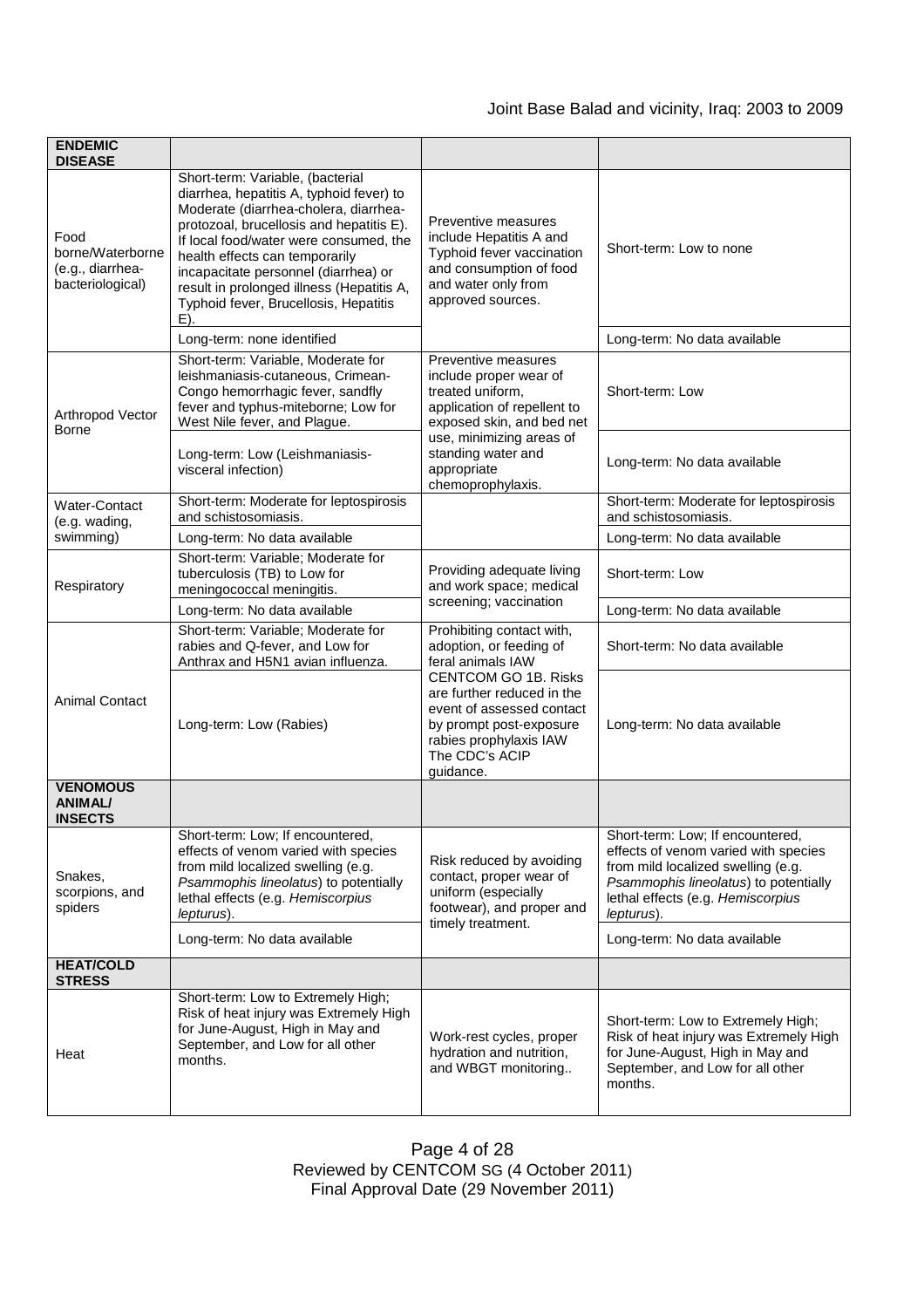| <b>ENDEMIC</b><br><b>DISEASE</b>                                 |                                                                                                                                                                                                                                                                                                                                                                                       |                                                                                                                                                                            |                                                                                                                                                                                                            |
|------------------------------------------------------------------|---------------------------------------------------------------------------------------------------------------------------------------------------------------------------------------------------------------------------------------------------------------------------------------------------------------------------------------------------------------------------------------|----------------------------------------------------------------------------------------------------------------------------------------------------------------------------|------------------------------------------------------------------------------------------------------------------------------------------------------------------------------------------------------------|
| Food<br>borne/Waterborne<br>(e.g., diarrhea-<br>bacteriological) | Short-term: Variable, (bacterial<br>diarrhea, hepatitis A, typhoid fever) to<br>Moderate (diarrhea-cholera, diarrhea-<br>protozoal, brucellosis and hepatitis E).<br>If local food/water were consumed, the<br>health effects can temporarily<br>incapacitate personnel (diarrhea) or<br>result in prolonged illness (Hepatitis A,<br>Typhoid fever, Brucellosis, Hepatitis<br>$E$ ). | Preventive measures<br>include Hepatitis A and<br>Typhoid fever vaccination<br>and consumption of food<br>and water only from<br>approved sources.                         | Short-term: Low to none                                                                                                                                                                                    |
|                                                                  | Long-term: none identified                                                                                                                                                                                                                                                                                                                                                            |                                                                                                                                                                            | Long-term: No data available                                                                                                                                                                               |
| Arthropod Vector<br><b>Borne</b>                                 | Short-term: Variable, Moderate for<br>leishmaniasis-cutaneous, Crimean-<br>Congo hemorrhagic fever, sandfly<br>fever and typhus-miteborne; Low for<br>West Nile fever, and Plague.                                                                                                                                                                                                    | Preventive measures<br>include proper wear of<br>treated uniform,<br>application of repellent to<br>exposed skin, and bed net                                              | Short-term: Low                                                                                                                                                                                            |
|                                                                  | Long-term: Low (Leishmaniasis-<br>visceral infection)                                                                                                                                                                                                                                                                                                                                 | use, minimizing areas of<br>standing water and<br>appropriate<br>chemoprophylaxis.                                                                                         | Long-term: No data available                                                                                                                                                                               |
| Water-Contact<br>(e.g. wading,                                   | Short-term: Moderate for leptospirosis<br>and schistosomiasis.                                                                                                                                                                                                                                                                                                                        |                                                                                                                                                                            | Short-term: Moderate for leptospirosis<br>and schistosomiasis.                                                                                                                                             |
| swimming)                                                        | Long-term: No data available                                                                                                                                                                                                                                                                                                                                                          |                                                                                                                                                                            | Long-term: No data available                                                                                                                                                                               |
| Respiratory                                                      | Short-term: Variable; Moderate for<br>tuberculosis (TB) to Low for<br>meningococcal meningitis.                                                                                                                                                                                                                                                                                       | Providing adequate living<br>and work space; medical                                                                                                                       | Short-term: Low                                                                                                                                                                                            |
|                                                                  | Long-term: No data available                                                                                                                                                                                                                                                                                                                                                          | screening; vaccination                                                                                                                                                     | Long-term: No data available                                                                                                                                                                               |
| <b>Animal Contact</b>                                            | Short-term: Variable; Moderate for<br>rabies and Q-fever, and Low for<br>Anthrax and H5N1 avian influenza.                                                                                                                                                                                                                                                                            | Prohibiting contact with,<br>adoption, or feeding of<br>feral animals IAW                                                                                                  | Short-term: No data available                                                                                                                                                                              |
|                                                                  | Long-term: Low (Rabies)                                                                                                                                                                                                                                                                                                                                                               | <b>CENTCOM GO 1B. Risks</b><br>are further reduced in the<br>event of assessed contact<br>by prompt post-exposure<br>rabies prophylaxis IAW<br>The CDC's ACIP<br>guidance. | Long-term: No data available                                                                                                                                                                               |
| <b>VENOMOUS</b><br><b>ANIMAL/</b><br><b>INSECTS</b>              |                                                                                                                                                                                                                                                                                                                                                                                       |                                                                                                                                                                            |                                                                                                                                                                                                            |
| Snakes,<br>scorpions, and<br>spiders                             | Short-term: Low; If encountered,<br>effects of venom varied with species<br>from mild localized swelling (e.g.<br>Psammophis lineolatus) to potentially<br>lethal effects (e.g. Hemiscorpius<br>lepturus).                                                                                                                                                                            | Risk reduced by avoiding<br>contact, proper wear of<br>uniform (especially<br>footwear), and proper and<br>timely treatment.                                               | Short-term: Low; If encountered,<br>effects of venom varied with species<br>from mild localized swelling (e.g.<br>Psammophis lineolatus) to potentially<br>lethal effects (e.g. Hemiscorpius<br>lepturus). |
|                                                                  | Long-term: No data available                                                                                                                                                                                                                                                                                                                                                          |                                                                                                                                                                            | Long-term: No data available                                                                                                                                                                               |
| <b>HEAT/COLD</b><br><b>STRESS</b>                                |                                                                                                                                                                                                                                                                                                                                                                                       |                                                                                                                                                                            |                                                                                                                                                                                                            |
| Heat                                                             | Short-term: Low to Extremely High;<br>Risk of heat injury was Extremely High<br>for June-August, High in May and<br>September, and Low for all other<br>months.                                                                                                                                                                                                                       | Work-rest cycles, proper<br>hydration and nutrition,<br>and WBGT monitoring                                                                                                | Short-term: Low to Extremely High;<br>Risk of heat injury was Extremely High<br>for June-August, High in May and<br>September, and Low for all other<br>months.                                            |

Page 4 of 28 Reviewed by CENTCOM SG (4 October 2011) Final Approval Date (29 November 2011)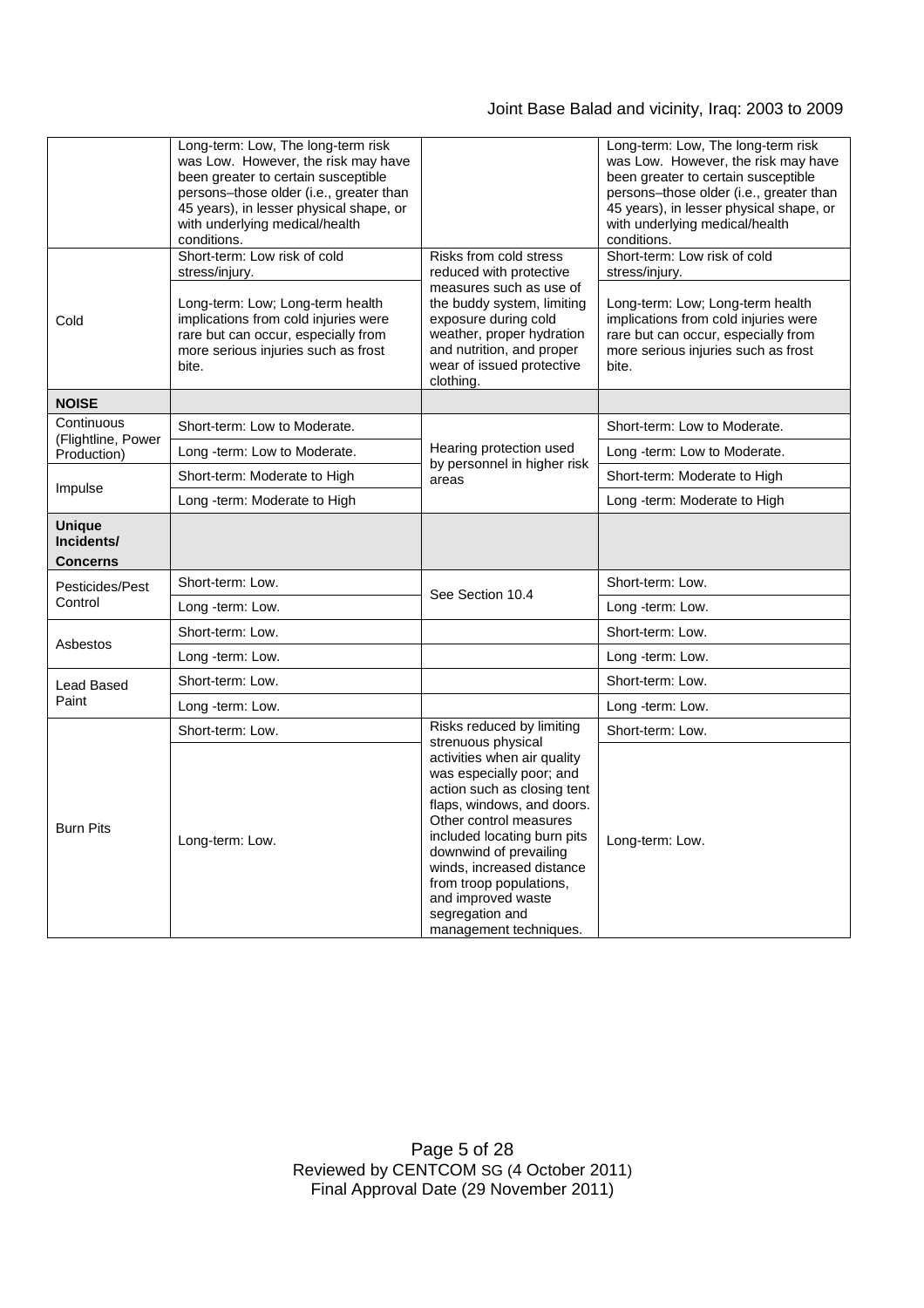# Joint Base Balad and vicinity, Iraq: 2003 to 2009

|                                         | Long-term: Low, The long-term risk<br>was Low. However, the risk may have<br>been greater to certain susceptible<br>persons-those older (i.e., greater than<br>45 years), in lesser physical shape, or<br>with underlying medical/health<br>conditions. |                                                                                                                                                                                                                                                                                                                                    | Long-term: Low, The long-term risk<br>was Low. However, the risk may have<br>been greater to certain susceptible<br>persons-those older (i.e., greater than<br>45 years), in lesser physical shape, or<br>with underlying medical/health<br>conditions. |
|-----------------------------------------|---------------------------------------------------------------------------------------------------------------------------------------------------------------------------------------------------------------------------------------------------------|------------------------------------------------------------------------------------------------------------------------------------------------------------------------------------------------------------------------------------------------------------------------------------------------------------------------------------|---------------------------------------------------------------------------------------------------------------------------------------------------------------------------------------------------------------------------------------------------------|
| Cold                                    | Short-term: Low risk of cold<br>stress/injury.<br>Long-term: Low; Long-term health<br>implications from cold injuries were<br>rare but can occur, especially from<br>more serious injuries such as frost<br>bite.                                       | Risks from cold stress<br>reduced with protective<br>measures such as use of<br>the buddy system, limiting<br>exposure during cold<br>weather, proper hydration<br>and nutrition, and proper<br>wear of issued protective<br>clothing.                                                                                             | Short-term: Low risk of cold<br>stress/injury.<br>Long-term: Low; Long-term health<br>implications from cold injuries were<br>rare but can occur, especially from<br>more serious injuries such as frost<br>bite.                                       |
| <b>NOISE</b>                            |                                                                                                                                                                                                                                                         |                                                                                                                                                                                                                                                                                                                                    |                                                                                                                                                                                                                                                         |
| Continuous<br>(Flightline, Power        | Short-term: Low to Moderate.                                                                                                                                                                                                                            |                                                                                                                                                                                                                                                                                                                                    | Short-term: Low to Moderate.                                                                                                                                                                                                                            |
| Production)                             | Long -term: Low to Moderate.                                                                                                                                                                                                                            | Hearing protection used<br>by personnel in higher risk<br>areas                                                                                                                                                                                                                                                                    | Long -term: Low to Moderate.                                                                                                                                                                                                                            |
| Impulse                                 | Short-term: Moderate to High                                                                                                                                                                                                                            |                                                                                                                                                                                                                                                                                                                                    | Short-term: Moderate to High                                                                                                                                                                                                                            |
|                                         | Long -term: Moderate to High                                                                                                                                                                                                                            |                                                                                                                                                                                                                                                                                                                                    | Long -term: Moderate to High                                                                                                                                                                                                                            |
| <b>Unique</b><br>Incidents/<br>Concerns |                                                                                                                                                                                                                                                         |                                                                                                                                                                                                                                                                                                                                    |                                                                                                                                                                                                                                                         |
| Pesticides/Pest                         | Short-term: Low.                                                                                                                                                                                                                                        | See Section 10.4                                                                                                                                                                                                                                                                                                                   | Short-term: Low.                                                                                                                                                                                                                                        |
| Control                                 | Long -term: Low.                                                                                                                                                                                                                                        |                                                                                                                                                                                                                                                                                                                                    | Long -term: Low.                                                                                                                                                                                                                                        |
|                                         | Short-term: Low.                                                                                                                                                                                                                                        |                                                                                                                                                                                                                                                                                                                                    | Short-term: Low.                                                                                                                                                                                                                                        |
| Asbestos                                | Long -term: Low.                                                                                                                                                                                                                                        |                                                                                                                                                                                                                                                                                                                                    | Long -term: Low.                                                                                                                                                                                                                                        |
| Lead Based                              | Short-term: Low.                                                                                                                                                                                                                                        |                                                                                                                                                                                                                                                                                                                                    | Short-term: Low.                                                                                                                                                                                                                                        |
| Paint                                   | Long -term: Low.                                                                                                                                                                                                                                        |                                                                                                                                                                                                                                                                                                                                    | Long -term: Low.                                                                                                                                                                                                                                        |
|                                         | Short-term: Low.                                                                                                                                                                                                                                        | Risks reduced by limiting<br>strenuous physical                                                                                                                                                                                                                                                                                    | Short-term: Low.                                                                                                                                                                                                                                        |
| <b>Burn Pits</b>                        | Long-term: Low.                                                                                                                                                                                                                                         | activities when air quality<br>was especially poor; and<br>action such as closing tent<br>flaps, windows, and doors.<br>Other control measures<br>included locating burn pits<br>downwind of prevailing<br>winds, increased distance<br>from troop populations,<br>and improved waste<br>segregation and<br>management techniques. | Long-term: Low.                                                                                                                                                                                                                                         |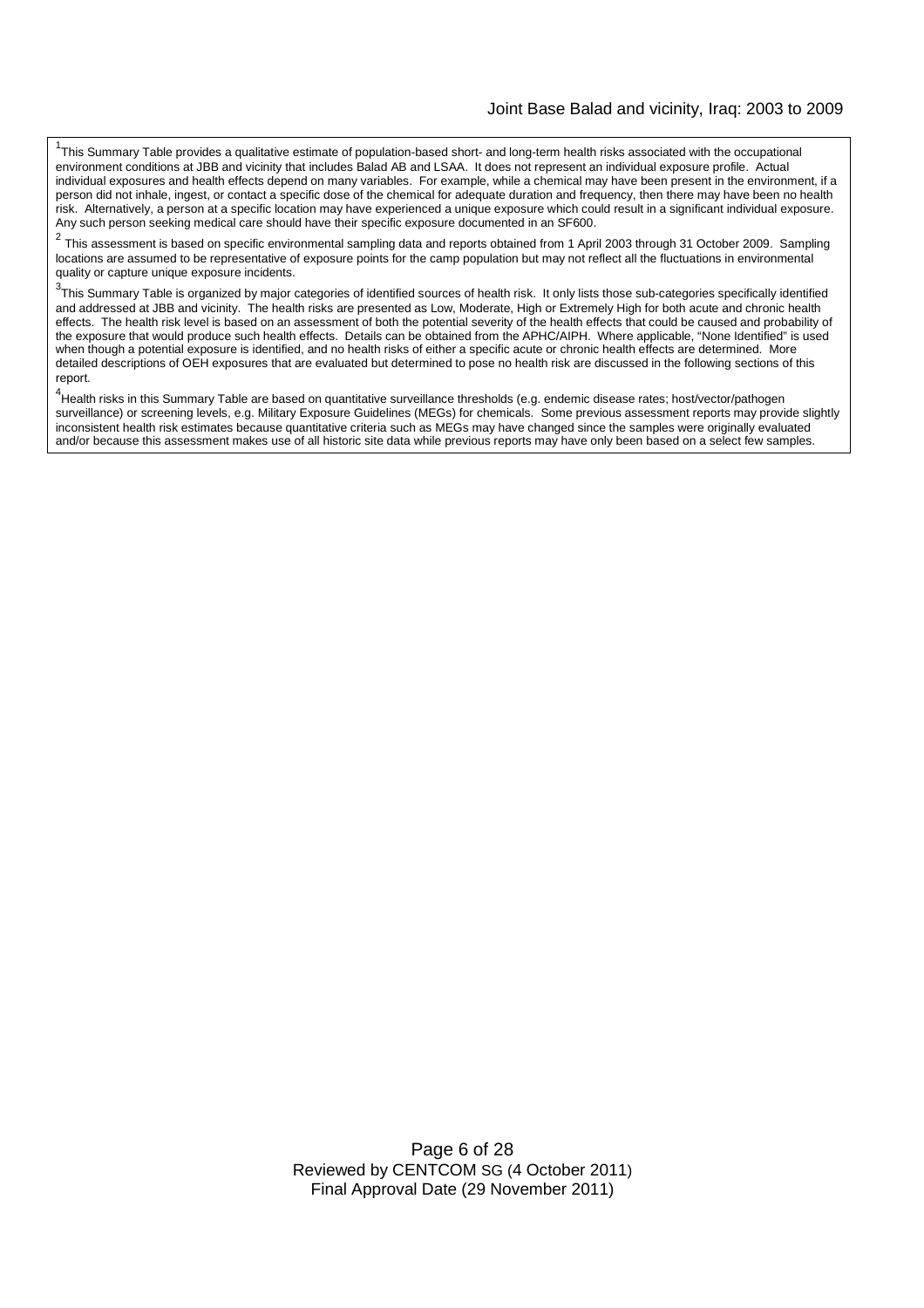<sup>1</sup>This Summary Table provides a qualitative estimate of population-based short- and long-term health risks associated with the occupational environment conditions at JBB and vicinity that includes Balad AB and LSAA. It does not represent an individual exposure profile. Actual individual exposures and health effects depend on many variables. For example, while a chemical may have been present in the environment, if a person did not inhale, ingest, or contact a specific dose of the chemical for adequate duration and frequency, then there may have been no health risk. Alternatively, a person at a specific location may have experienced a unique exposure which could result in a significant individual exposure. Any such person seeking medical care should have their specific exposure documented in an SF600.

 $\mathcal{P}$ This assessment is based on specific environmental sampling data and reports obtained from 1 April 2003 through 31 October 2009. Sampling locations are assumed to be representative of exposure points for the camp population but may not reflect all the fluctuations in environmental quality or capture unique exposure incidents.

 $3$ This Summary Table is organized by major categories of identified sources of health risk. It only lists those sub-categories specifically identified and addressed at JBB and vicinity. The health risks are presented as Low, Moderate, High or Extremely High for both acute and chronic health effects. The health risk level is based on an assessment of both the potential severity of the health effects that could be caused and probability of the exposure that would produce such health effects. Details can be obtained from the APHC/AIPH. Where applicable, "None Identified" is used when though a potential exposure is identified, and no health risks of either a specific acute or chronic health effects are determined. More detailed descriptions of OEH exposures that are evaluated but determined to pose no health risk are discussed in the following sections of this report.

4 Health risks in this Summary Table are based on quantitative surveillance thresholds (e.g. endemic disease rates; host/vector/pathogen surveillance) or screening levels, e.g. Military Exposure Guidelines (MEGs) for chemicals*.* Some previous assessment reports may provide slightly inconsistent health risk estimates because quantitative criteria such as MEGs may have changed since the samples were originally evaluated and/or because this assessment makes use of all historic site data while previous reports may have only been based on a select few samples.

> Page 6 of 28 Reviewed by CENTCOM SG (4 October 2011) Final Approval Date (29 November 2011)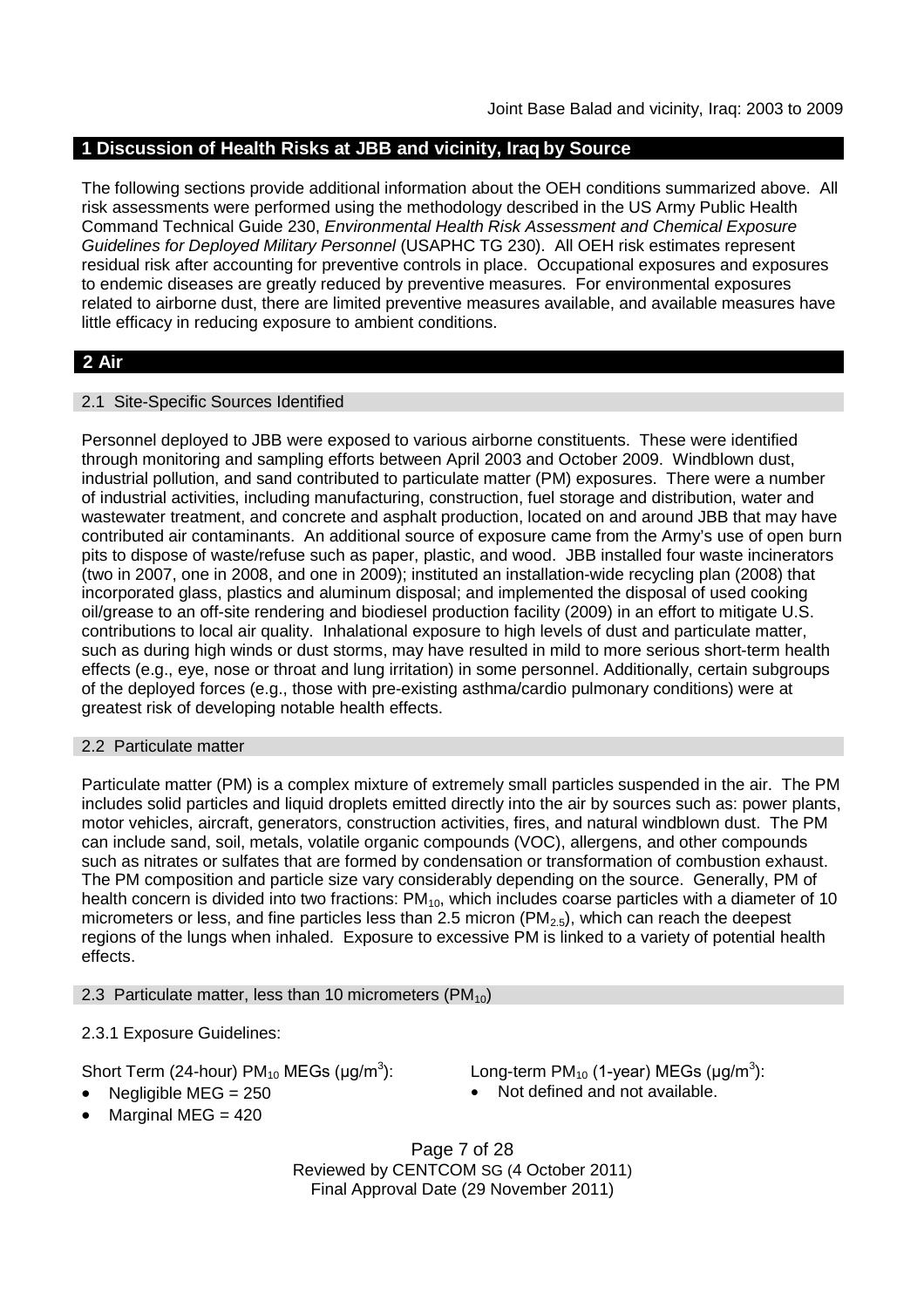# **1 Discussion of Health Risks at JBB and vicinity, Iraq by Source**

The following sections provide additional information about the OEH conditions summarized above. All risk assessments were performed using the methodology described in the US Army Public Health Command Technical Guide 230, *Environmental Health Risk Assessment and Chemical Exposure Guidelines for Deployed Military Personnel* (USAPHC TG 230). All OEH risk estimates represent residual risk after accounting for preventive controls in place. Occupational exposures and exposures to endemic diseases are greatly reduced by preventive measures. For environmental exposures related to airborne dust, there are limited preventive measures available, and available measures have little efficacy in reducing exposure to ambient conditions.

# **2 Air**

### 2.1 Site-Specific Sources Identified

Personnel deployed to JBB were exposed to various airborne constituents. These were identified through monitoring and sampling efforts between April 2003 and October 2009. Windblown dust, industrial pollution, and sand contributed to particulate matter (PM) exposures. There were a number of industrial activities, including manufacturing, construction, fuel storage and distribution, water and wastewater treatment, and concrete and asphalt production, located on and around JBB that may have contributed air contaminants. An additional source of exposure came from the Army's use of open burn pits to dispose of waste/refuse such as paper, plastic, and wood. JBB installed four waste incinerators (two in 2007, one in 2008, and one in 2009); instituted an installation-wide recycling plan (2008) that incorporated glass, plastics and aluminum disposal; and implemented the disposal of used cooking oil/grease to an off-site rendering and biodiesel production facility (2009) in an effort to mitigate U.S. contributions to local air quality. Inhalational exposure to high levels of dust and particulate matter, such as during high winds or dust storms, may have resulted in mild to more serious short-term health effects (e.g., eye, nose or throat and lung irritation) in some personnel. Additionally, certain subgroups of the deployed forces (e.g., those with pre-existing asthma/cardio pulmonary conditions) were at greatest risk of developing notable health effects.

#### 2.2 Particulate matter

Particulate matter (PM) is a complex mixture of extremely small particles suspended in the air. The PM includes solid particles and liquid droplets emitted directly into the air by sources such as: power plants, motor vehicles, aircraft, generators, construction activities, fires, and natural windblown dust. The PM can include sand, soil, metals, volatile organic compounds (VOC), allergens, and other compounds such as nitrates or sulfates that are formed by condensation or transformation of combustion exhaust. The PM composition and particle size vary considerably depending on the source. Generally, PM of health concern is divided into two fractions: PM<sub>10</sub>, which includes coarse particles with a diameter of 10 micrometers or less, and fine particles less than 2.5 micron ( $PM<sub>2.5</sub>$ ), which can reach the deepest regions of the lungs when inhaled. Exposure to excessive PM is linked to a variety of potential health effects.

#### 2.3 Particulate matter, less than 10 micrometers ( $PM_{10}$ )

# 2.3.1 Exposure Guidelines:

Short Term (24-hour) PM $_{10}$  MEGs (µg/m $^3$ 

): Long-term PM<sub>10</sub> (1-year) MEGs (µg/m<sup>3</sup>): Negligible MEG = 250 **a** Not defined and not available.

- 
- Marginal MEG  $= 420$

Page 7 of 28 Reviewed by CENTCOM SG (4 October 2011) Final Approval Date (29 November 2011)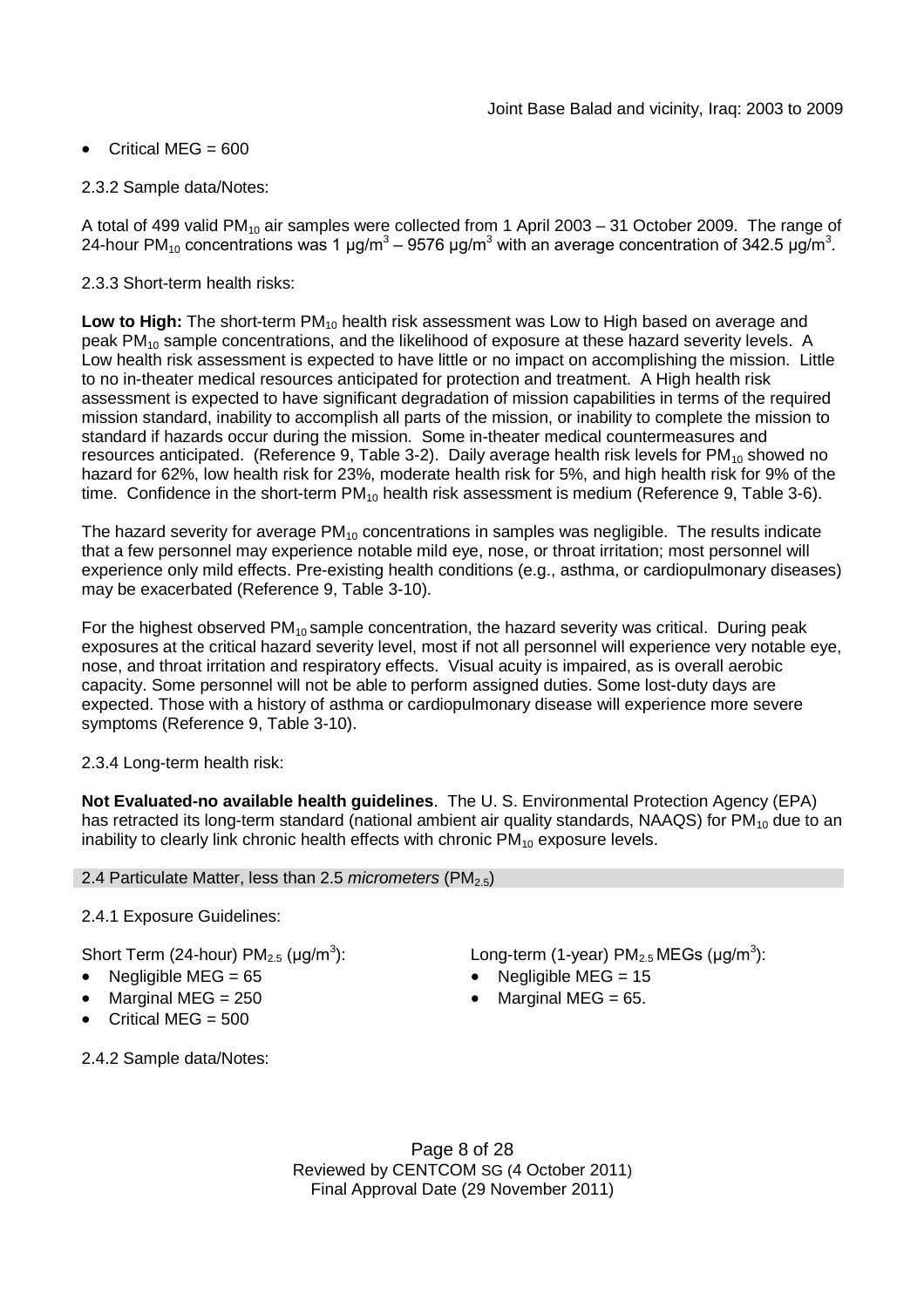# Critical MEG =  $600$

### 2.3.2 Sample data/Notes:

A total of 499 valid PM<sub>10</sub> air samples were collected from 1 April 2003 – 31 October 2009. The range of 24-hour PM<sub>10</sub> concentrations was 1 μg/m<sup>3</sup> – 9576 μg/m<sup>3</sup> with an average concentration of 342.5 μg/m<sup>3</sup>.

### 2.3.3 Short-term health risks:

**Low to High:** The short-term PM<sub>10</sub> health risk assessment was Low to High based on average and peak  $PM_{10}$  sample concentrations, and the likelihood of exposure at these hazard severity levels. A Low health risk assessment is expected to have little or no impact on accomplishing the mission. Little to no in-theater medical resources anticipated for protection and treatment. A High health risk assessment is expected to have significant degradation of mission capabilities in terms of the required mission standard, inability to accomplish all parts of the mission, or inability to complete the mission to standard if hazards occur during the mission. Some in-theater medical countermeasures and resources anticipated. (Reference 9, Table 3-2). Daily average health risk levels for  $PM_{10}$  showed no hazard for 62%, low health risk for 23%, moderate health risk for 5%, and high health risk for 9% of the time. Confidence in the short-term  $PM_{10}$  health risk assessment is medium (Reference 9, Table 3-6).

The hazard severity for average  $PM_{10}$  concentrations in samples was negligible. The results indicate that a few personnel may experience notable mild eye, nose, or throat irritation; most personnel will experience only mild effects. Pre-existing health conditions (e.g., asthma, or cardiopulmonary diseases) may be exacerbated (Reference 9, Table 3-10).

For the highest observed  $PM_{10}$  sample concentration, the hazard severity was critical. During peak exposures at the critical hazard severity level, most if not all personnel will experience very notable eye, nose, and throat irritation and respiratory effects. Visual acuity is impaired, as is overall aerobic capacity. Some personnel will not be able to perform assigned duties. Some lost-duty days are expected. Those with a history of asthma or cardiopulmonary disease will experience more severe symptoms (Reference 9, Table 3-10).

# 2.3.4 Long-term health risk:

**Not Evaluated-no available health guidelines**. The U. S. Environmental Protection Agency (EPA) has retracted its long-term standard (national ambient air quality standards, NAAQS) for  $PM_{10}$  due to an inability to clearly link chronic health effects with chronic  $PM_{10}$  exposure levels.

#### 2.4 Particulate Matter, less than 2.5 *micrometers* (PM<sub>2.5</sub>)

# 2.4.1 Exposure Guidelines:

Short Term (24-hour) PM $_{2.5}$  (µg/m $^3$ 

- 
- 
- Critical MEG  $= 500$

2.4.2 Sample data/Notes:

): Long-term (1-year)  $PM_{2.5}$ MEGs (µg/m<sup>3</sup>):

- Negligible MEG = 65 Negligible MEG = 15
- Marginal MEG =  $250$   $\bullet$  Marginal MEG =  $65$ .

Page 8 of 28 Reviewed by CENTCOM SG (4 October 2011) Final Approval Date (29 November 2011)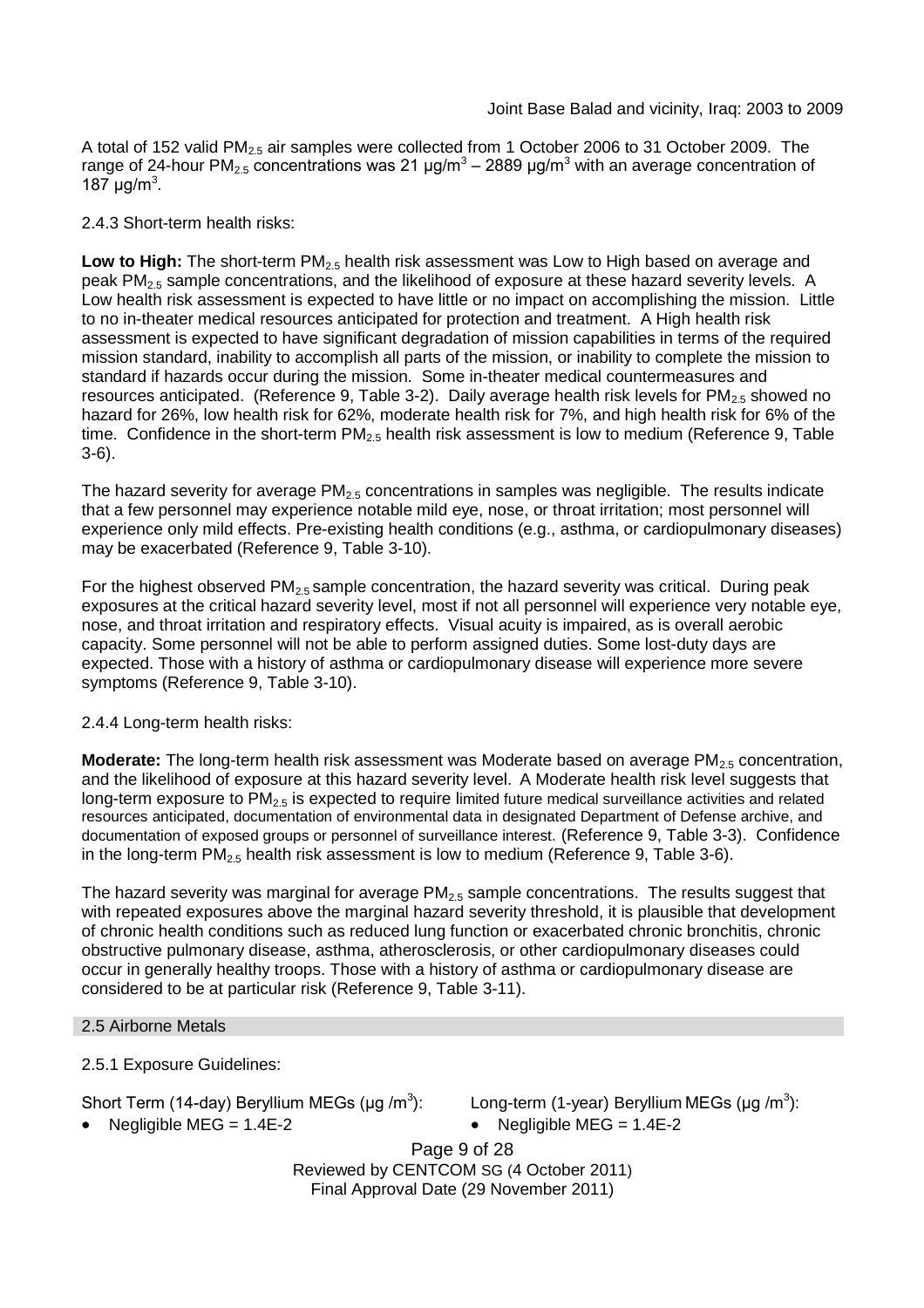A total of 152 valid  $PM<sub>2.5</sub>$  air samples were collected from 1 October 2006 to 31 October 2009. The range of 24-hour PM<sub>2.5</sub> concentrations was 21 μg/m<sup>3</sup> – 2889 μg/m<sup>3</sup> with an average concentration of 187  $\mu$ g/m<sup>3</sup>.

### 2.4.3 Short-term health risks:

Low to High: The short-term PM<sub>2.5</sub> health risk assessment was Low to High based on average and peak PM2.5 sample concentrations, and the likelihood of exposure at these hazard severity levels. A Low health risk assessment is expected to have little or no impact on accomplishing the mission. Little to no in-theater medical resources anticipated for protection and treatment. A High health risk assessment is expected to have significant degradation of mission capabilities in terms of the required mission standard, inability to accomplish all parts of the mission, or inability to complete the mission to standard if hazards occur during the mission. Some in-theater medical countermeasures and resources anticipated. (Reference 9, Table 3-2). Daily average health risk levels for  $PM_{2.5}$  showed no hazard for 26%, low health risk for 62%, moderate health risk for 7%, and high health risk for 6% of the time. Confidence in the short-term  $PM<sub>2.5</sub>$  health risk assessment is low to medium (Reference 9, Table 3-6).

The hazard severity for average  $PM<sub>2.5</sub>$  concentrations in samples was negligible. The results indicate that a few personnel may experience notable mild eye, nose, or throat irritation; most personnel will experience only mild effects. Pre-existing health conditions (e.g., asthma, or cardiopulmonary diseases) may be exacerbated (Reference 9, Table 3-10).

For the highest observed  $PM<sub>2.5</sub>$  sample concentration, the hazard severity was critical. During peak exposures at the critical hazard severity level, most if not all personnel will experience very notable eye, nose, and throat irritation and respiratory effects. Visual acuity is impaired, as is overall aerobic capacity. Some personnel will not be able to perform assigned duties. Some lost-duty days are expected. Those with a history of asthma or cardiopulmonary disease will experience more severe symptoms (Reference 9, Table 3-10).

# 2.4.4 Long-term health risks:

**Moderate:** The long-term health risk assessment was Moderate based on average PM<sub>2.5</sub> concentration, and the likelihood of exposure at this hazard severity level. A Moderate health risk level suggests that long-term exposure to  $PM<sub>2.5</sub>$  is expected to require limited future medical surveillance activities and related resources anticipated, documentation of environmental data in designated Department of Defense archive, and documentation of exposed groups or personnel of surveillance interest. (Reference 9, Table 3-3). Confidence in the long-term  $PM_{2.5}$  health risk assessment is low to medium (Reference 9, Table 3-6).

The hazard severity was marginal for average  $PM<sub>2.5</sub>$  sample concentrations. The results suggest that with repeated exposures above the marginal hazard severity threshold, it is plausible that development of chronic health conditions such as reduced lung function or exacerbated chronic bronchitis, chronic obstructive pulmonary disease, asthma, atherosclerosis, or other cardiopulmonary diseases could occur in generally healthy troops. Those with a history of asthma or cardiopulmonary disease are considered to be at particular risk (Reference 9, Table 3-11).

# 2.5 Airborne Metals

2.5.1 Exposure Guidelines:

Short Term (14-day) Beryllium MEGs (µg /m<sup>3</sup>

): Long-term (1-year) Beryllium MEGs (μg /m<sup>3</sup>):

Negligible MEG = 1.4E-2 Negligible MEG = 1.4E-2

Page 9 of 28 Reviewed by CENTCOM SG (4 October 2011) Final Approval Date (29 November 2011)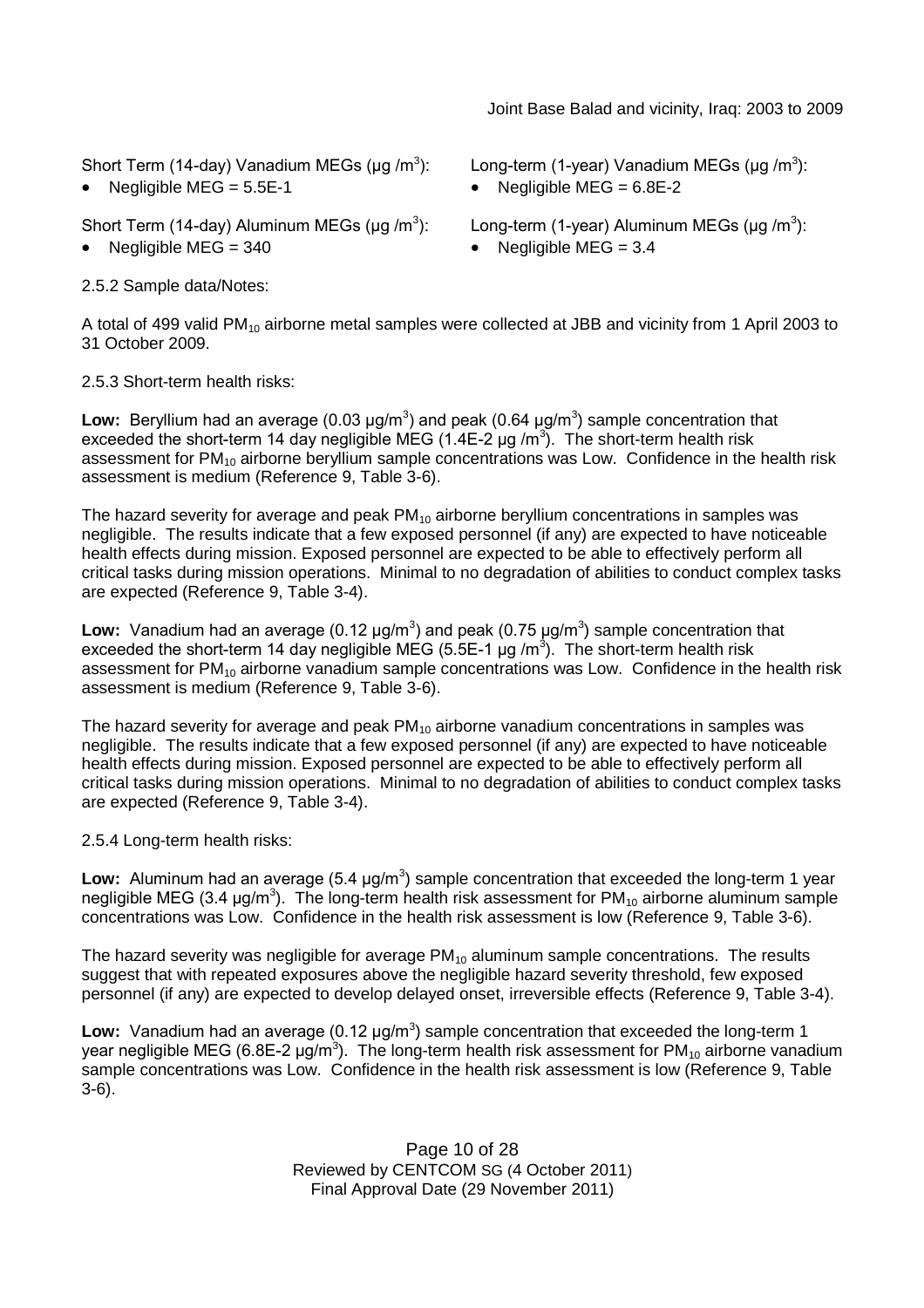### Joint Base Balad and vicinity, Iraq: 2003 to 2009

Short Term (14-day) Vanadium MEGs (µg /m<sup>3</sup>

Short Term (14-day) Aluminum MEGs (µg /m<sup>3</sup>

2.5.2 Sample data/Notes:

): Long-term (1-year) Vanadium MEGs (μg /m<sup>3</sup>):

Negligible  $MEG = 5.5E-1$   $\bullet$  Negligible  $MEG = 6.8E-2$ 

): Long-term (1-year) Aluminum MEGs (μg /m<sup>3</sup>):

Negligible MEG =  $340$   $\bullet$  Negligible MEG =  $3.4$ 

A total of 499 valid PM<sub>10</sub> airborne metal samples were collected at JBB and vicinity from 1 April 2003 to 31 October 2009.

2.5.3 Short-term health risks:

Low: Beryllium had an average (0.03  $\mu$ g/m<sup>3</sup>) and peak (0.64  $\mu$ g/m<sup>3</sup>) sample concentration that exceeded the short-term 14 day negligible MEG (1.4E-2  $\mu$ g /m<sup>3</sup>). The short-term health risk assessment for PM<sup>10</sup> airborne beryllium sample concentrations was Low. Confidence in the health risk assessment is medium (Reference 9, Table 3-6).

The hazard severity for average and peak  $PM_{10}$  airborne beryllium concentrations in samples was negligible. The results indicate that a few exposed personnel (if any) are expected to have noticeable health effects during mission. Exposed personnel are expected to be able to effectively perform all critical tasks during mission operations. Minimal to no degradation of abilities to conduct complex tasks are expected (Reference 9, Table 3-4).

Low: Vanadium had an average (0.12  $\mu$ g/m<sup>3</sup>) and peak (0.75  $\mu$ g/m<sup>3</sup>) sample concentration that exceeded the short-term 14 day negligible MEG (5.5E-1 µg /m<sup>3</sup>). The short-term health risk assessment for  $PM_{10}$  airborne vanadium sample concentrations was Low. Confidence in the health risk assessment is medium (Reference 9, Table 3-6).

The hazard severity for average and peak  $PM_{10}$  airborne vanadium concentrations in samples was negligible. The results indicate that a few exposed personnel (if any) are expected to have noticeable health effects during mission. Exposed personnel are expected to be able to effectively perform all critical tasks during mission operations. Minimal to no degradation of abilities to conduct complex tasks are expected (Reference 9, Table 3-4).

2.5.4 Long-term health risks:

Low: Aluminum had an average (5.4 μg/m<sup>3</sup>) sample concentration that exceeded the long-term 1 year negligible MEG (3.4 µg/m<sup>3</sup>). The long-term health risk assessment for PM<sub>10</sub> airborne aluminum sample concentrations was Low. Confidence in the health risk assessment is low (Reference 9, Table 3-6).

The hazard severity was negligible for average  $PM_{10}$  aluminum sample concentrations. The results suggest that with repeated exposures above the negligible hazard severity threshold, few exposed personnel (if any) are expected to develop delayed onset, irreversible effects (Reference 9, Table 3-4).

Low: Vanadium had an average (0.12 μg/m<sup>3</sup>) sample concentration that exceeded the long-term 1 year negligible MEG (6.8E-2 μg/m<sup>3</sup>). The long-term health risk assessment for PM<sub>10</sub> airborne vanadium sample concentrations was Low. Confidence in the health risk assessment is low (Reference 9, Table 3-6).

> Page 10 of 28 Reviewed by CENTCOM SG (4 October 2011) Final Approval Date (29 November 2011)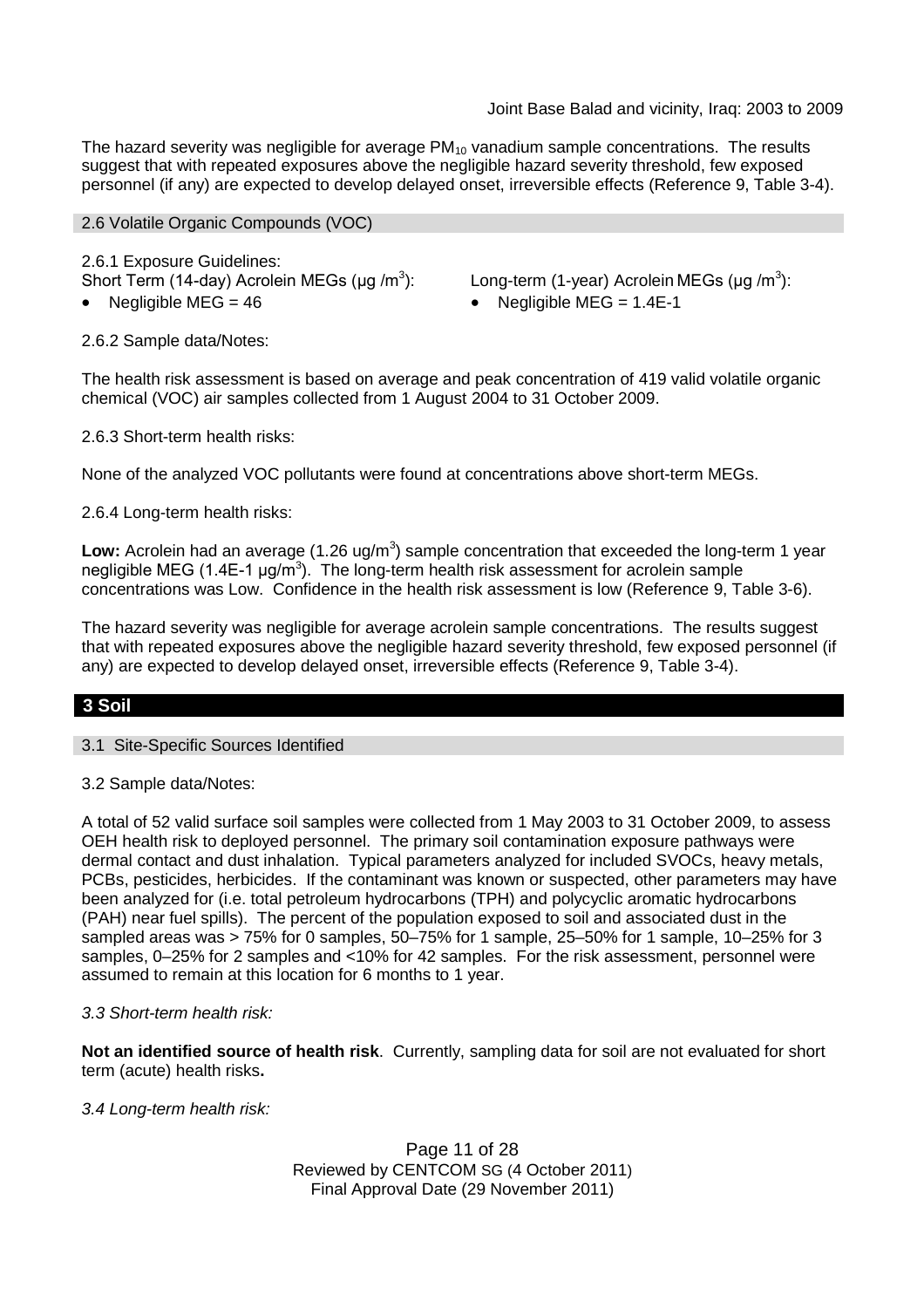The hazard severity was negligible for average  $PM_{10}$  vanadium sample concentrations. The results suggest that with repeated exposures above the negligible hazard severity threshold, few exposed personnel (if any) are expected to develop delayed onset, irreversible effects (Reference 9, Table 3-4).

#### 2.6 Volatile Organic Compounds (VOC)

2.6.1 Exposure Guidelines: Short Term (14-day) Acrolein MEGs (µg /m<sup>3</sup>

): Long-term (1-year) Acrolein MEGs (μg /m<sup>3</sup>):

Negligible MEG = 46 Negligible MEG = 1.4E-1

2.6.2 Sample data/Notes:

The health risk assessment is based on average and peak concentration of 419 valid volatile organic chemical (VOC) air samples collected from 1 August 2004 to 31 October 2009.

2.6.3 Short-term health risks:

None of the analyzed VOC pollutants were found at concentrations above short-term MEGs.

2.6.4 Long-term health risks:

Low: Acrolein had an average (1.26 ug/m<sup>3</sup>) sample concentration that exceeded the long-term 1 year negligible MEG (1.4E-1  $\mu$ g/m<sup>3</sup>). The long-term health risk assessment for acrolein sample concentrations was Low. Confidence in the health risk assessment is low (Reference 9, Table 3-6).

The hazard severity was negligible for average acrolein sample concentrations. The results suggest that with repeated exposures above the negligible hazard severity threshold, few exposed personnel (if any) are expected to develop delayed onset, irreversible effects (Reference 9, Table 3-4).

# **3 Soil**

3.1 Site-Specific Sources Identified

3.2 Sample data/Notes:

A total of 52 valid surface soil samples were collected from 1 May 2003 to 31 October 2009, to assess OEH health risk to deployed personnel. The primary soil contamination exposure pathways were dermal contact and dust inhalation. Typical parameters analyzed for included SVOCs, heavy metals, PCBs, pesticides, herbicides. If the contaminant was known or suspected, other parameters may have been analyzed for (i.e. total petroleum hydrocarbons (TPH) and polycyclic aromatic hydrocarbons (PAH) near fuel spills). The percent of the population exposed to soil and associated dust in the sampled areas was > 75% for 0 samples, 50–75% for 1 sample, 25–50% for 1 sample, 10–25% for 3 samples, 0–25% for 2 samples and <10% for 42 samples. For the risk assessment, personnel were assumed to remain at this location for 6 months to 1 year.

# *3.3 Short-term health risk:*

**Not an identified source of health risk**. Currently, sampling data for soil are not evaluated for short term (acute) health risks**.**

*3.4 Long-term health risk:*

Page 11 of 28 Reviewed by CENTCOM SG (4 October 2011) Final Approval Date (29 November 2011)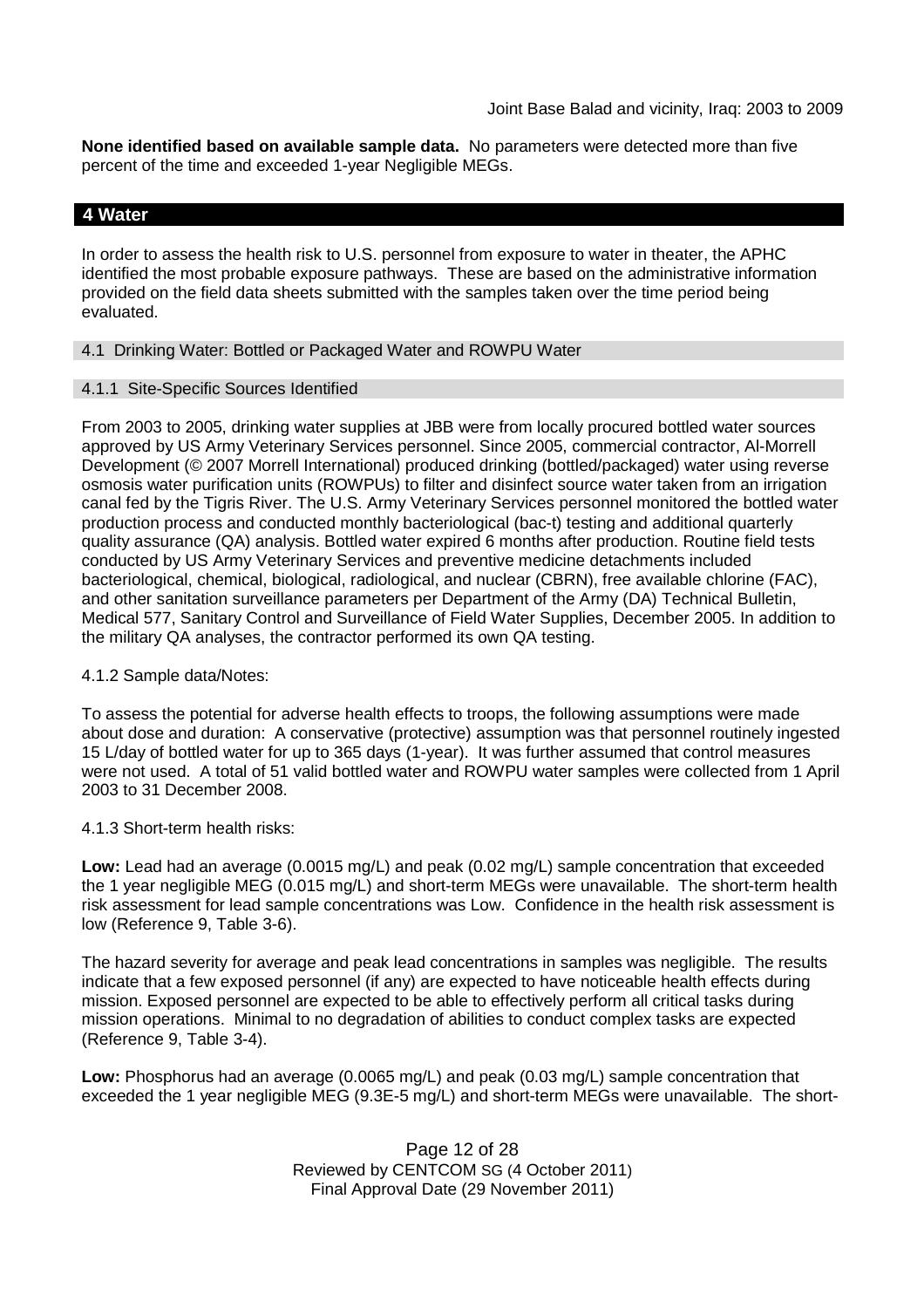**None identified based on available sample data.** No parameters were detected more than five percent of the time and exceeded 1-year Negligible MEGs.

### **4 Water**

In order to assess the health risk to U.S. personnel from exposure to water in theater, the APHC identified the most probable exposure pathways. These are based on the administrative information provided on the field data sheets submitted with the samples taken over the time period being evaluated.

#### 4.1 Drinking Water: Bottled or Packaged Water and ROWPU Water

#### 4.1.1 Site-Specific Sources Identified

From 2003 to 2005, drinking water supplies at JBB were from locally procured bottled water sources approved by US Army Veterinary Services personnel. Since 2005, commercial contractor, Al-Morrell Development (© 2007 Morrell International) produced drinking (bottled/packaged) water using reverse osmosis water purification units (ROWPUs) to filter and disinfect source water taken from an irrigation canal fed by the Tigris River. The U.S. Army Veterinary Services personnel monitored the bottled water production process and conducted monthly bacteriological (bac-t) testing and additional quarterly quality assurance (QA) analysis. Bottled water expired 6 months after production. Routine field tests conducted by US Army Veterinary Services and preventive medicine detachments included bacteriological, chemical, biological, radiological, and nuclear (CBRN), free available chlorine (FAC), and other sanitation surveillance parameters per Department of the Army (DA) Technical Bulletin, Medical 577, Sanitary Control and Surveillance of Field Water Supplies, December 2005. In addition to the military QA analyses, the contractor performed its own QA testing.

#### 4.1.2 Sample data/Notes:

To assess the potential for adverse health effects to troops, the following assumptions were made about dose and duration: A conservative (protective) assumption was that personnel routinely ingested 15 L/day of bottled water for up to 365 days (1-year). It was further assumed that control measures were not used. A total of 51 valid bottled water and ROWPU water samples were collected from 1 April 2003 to 31 December 2008.

4.1.3 Short-term health risks:

**Low:** Lead had an average (0.0015 mg/L) and peak (0.02 mg/L) sample concentration that exceeded the 1 year negligible MEG (0.015 mg/L) and short-term MEGs were unavailable. The short-term health risk assessment for lead sample concentrations was Low. Confidence in the health risk assessment is low (Reference 9, Table 3-6).

The hazard severity for average and peak lead concentrations in samples was negligible. The results indicate that a few exposed personnel (if any) are expected to have noticeable health effects during mission. Exposed personnel are expected to be able to effectively perform all critical tasks during mission operations. Minimal to no degradation of abilities to conduct complex tasks are expected (Reference 9, Table 3-4).

**Low:** Phosphorus had an average (0.0065 mg/L) and peak (0.03 mg/L) sample concentration that exceeded the 1 year negligible MEG (9.3E-5 mg/L) and short-term MEGs were unavailable. The short-

> Page 12 of 28 Reviewed by CENTCOM SG (4 October 2011) Final Approval Date (29 November 2011)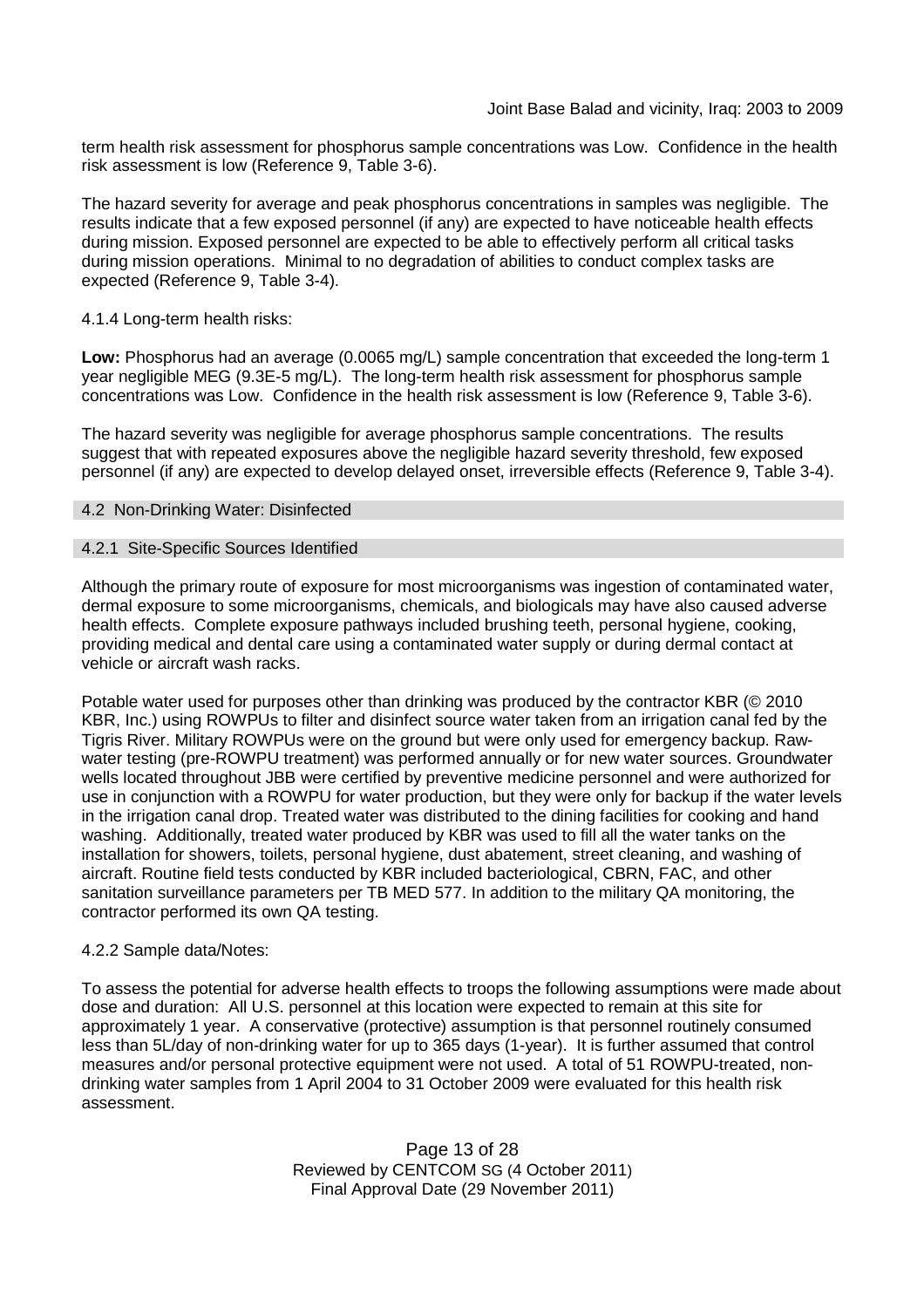term health risk assessment for phosphorus sample concentrations was Low. Confidence in the health risk assessment is low (Reference 9, Table 3-6).

The hazard severity for average and peak phosphorus concentrations in samples was negligible. The results indicate that a few exposed personnel (if any) are expected to have noticeable health effects during mission. Exposed personnel are expected to be able to effectively perform all critical tasks during mission operations. Minimal to no degradation of abilities to conduct complex tasks are expected (Reference 9, Table 3-4).

#### 4.1.4 Long-term health risks:

**Low:** Phosphorus had an average (0.0065 mg/L) sample concentration that exceeded the long-term 1 year negligible MEG (9.3E-5 mg/L). The long-term health risk assessment for phosphorus sample concentrations was Low. Confidence in the health risk assessment is low (Reference 9, Table 3-6).

The hazard severity was negligible for average phosphorus sample concentrations. The results suggest that with repeated exposures above the negligible hazard severity threshold, few exposed personnel (if any) are expected to develop delayed onset, irreversible effects (Reference 9, Table 3-4).

### 4.2 Non-Drinking Water: Disinfected

### 4.2.1 Site-Specific Sources Identified

Although the primary route of exposure for most microorganisms was ingestion of contaminated water, dermal exposure to some microorganisms, chemicals, and biologicals may have also caused adverse health effects. Complete exposure pathways included brushing teeth, personal hygiene, cooking, providing medical and dental care using a contaminated water supply or during dermal contact at vehicle or aircraft wash racks.

Potable water used for purposes other than drinking was produced by the contractor KBR (© 2010 KBR, Inc.) using ROWPUs to filter and disinfect source water taken from an irrigation canal fed by the Tigris River. Military ROWPUs were on the ground but were only used for emergency backup. Rawwater testing (pre-ROWPU treatment) was performed annually or for new water sources. Groundwater wells located throughout JBB were certified by preventive medicine personnel and were authorized for use in conjunction with a ROWPU for water production, but they were only for backup if the water levels in the irrigation canal drop. Treated water was distributed to the dining facilities for cooking and hand washing. Additionally, treated water produced by KBR was used to fill all the water tanks on the installation for showers, toilets, personal hygiene, dust abatement, street cleaning, and washing of aircraft. Routine field tests conducted by KBR included bacteriological, CBRN, FAC, and other sanitation surveillance parameters per TB MED 577. In addition to the military QA monitoring, the contractor performed its own QA testing.

#### 4.2.2 Sample data/Notes:

To assess the potential for adverse health effects to troops the following assumptions were made about dose and duration: All U.S. personnel at this location were expected to remain at this site for approximately 1 year. A conservative (protective) assumption is that personnel routinely consumed less than 5L/day of non-drinking water for up to 365 days (1-year). It is further assumed that control measures and/or personal protective equipment were not used. A total of 51 ROWPU-treated, nondrinking water samples from 1 April 2004 to 31 October 2009 were evaluated for this health risk assessment.

> Page 13 of 28 Reviewed by CENTCOM SG (4 October 2011) Final Approval Date (29 November 2011)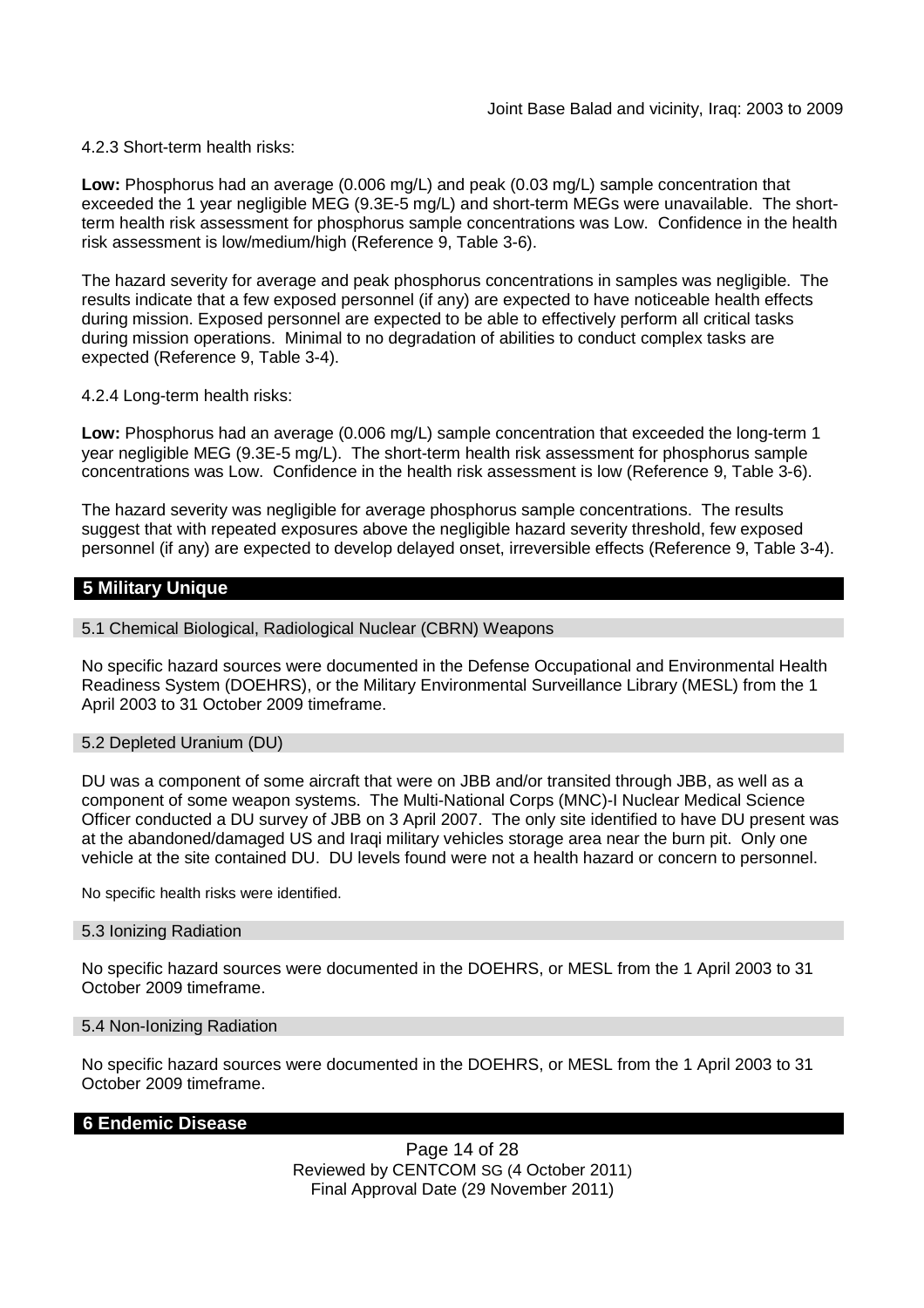#### 4.2.3 Short-term health risks:

**Low:** Phosphorus had an average (0.006 mg/L) and peak (0.03 mg/L) sample concentration that exceeded the 1 year negligible MEG (9.3E-5 mg/L) and short-term MEGs were unavailable. The shortterm health risk assessment for phosphorus sample concentrations was Low. Confidence in the health risk assessment is low/medium/high (Reference 9, Table 3-6).

The hazard severity for average and peak phosphorus concentrations in samples was negligible. The results indicate that a few exposed personnel (if any) are expected to have noticeable health effects during mission. Exposed personnel are expected to be able to effectively perform all critical tasks during mission operations. Minimal to no degradation of abilities to conduct complex tasks are expected (Reference 9, Table 3-4).

4.2.4 Long-term health risks:

**Low:** Phosphorus had an average (0.006 mg/L) sample concentration that exceeded the long-term 1 year negligible MEG (9.3E-5 mg/L). The short-term health risk assessment for phosphorus sample concentrations was Low. Confidence in the health risk assessment is low (Reference 9, Table 3-6).

The hazard severity was negligible for average phosphorus sample concentrations. The results suggest that with repeated exposures above the negligible hazard severity threshold, few exposed personnel (if any) are expected to develop delayed onset, irreversible effects (Reference 9, Table 3-4).

# **5 Military Unique**

#### 5.1 Chemical Biological, Radiological Nuclear (CBRN) Weapons

No specific hazard sources were documented in the Defense Occupational and Environmental Health Readiness System (DOEHRS), or the Military Environmental Surveillance Library (MESL) from the 1 April 2003 to 31 October 2009 timeframe.

#### 5.2 Depleted Uranium (DU)

DU was a component of some aircraft that were on JBB and/or transited through JBB, as well as a component of some weapon systems. The Multi-National Corps (MNC)-I Nuclear Medical Science Officer conducted a DU survey of JBB on 3 April 2007. The only site identified to have DU present was at the abandoned/damaged US and Iraqi military vehicles storage area near the burn pit. Only one vehicle at the site contained DU. DU levels found were not a health hazard or concern to personnel.

No specific health risks were identified.

### 5.3 Ionizing Radiation

No specific hazard sources were documented in the DOEHRS, or MESL from the 1 April 2003 to 31 October 2009 timeframe.

#### 5.4 Non-Ionizing Radiation

No specific hazard sources were documented in the DOEHRS, or MESL from the 1 April 2003 to 31 October 2009 timeframe.

#### **6 Endemic Disease**

Page 14 of 28 Reviewed by CENTCOM SG (4 October 2011) Final Approval Date (29 November 2011)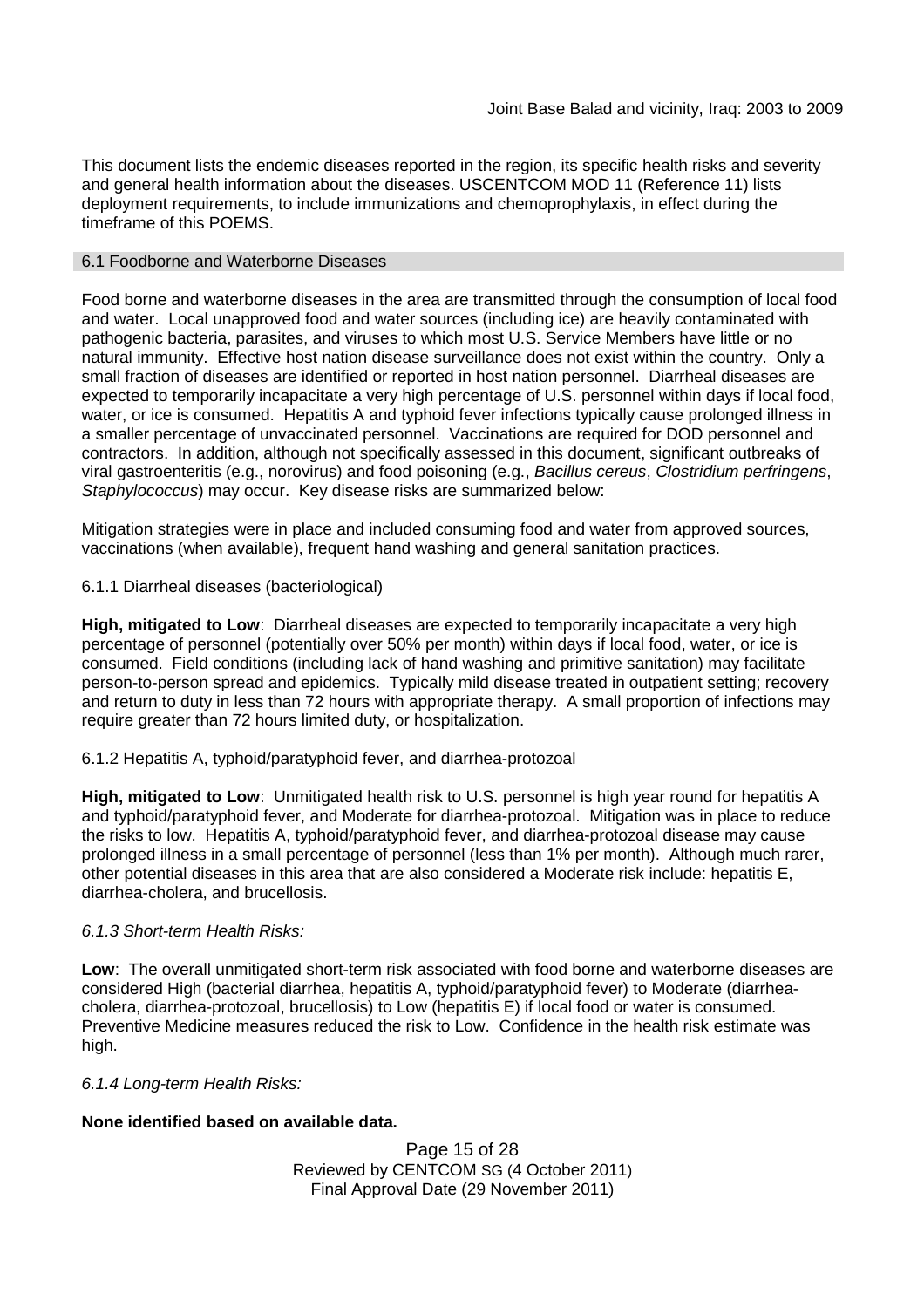This document lists the endemic diseases reported in the region, its specific health risks and severity and general health information about the diseases. USCENTCOM MOD 11 (Reference 11) lists deployment requirements, to include immunizations and chemoprophylaxis, in effect during the timeframe of this POEMS.

#### 6.1 Foodborne and Waterborne Diseases

Food borne and waterborne diseases in the area are transmitted through the consumption of local food and water. Local unapproved food and water sources (including ice) are heavily contaminated with pathogenic bacteria, parasites, and viruses to which most U.S. Service Members have little or no natural immunity. Effective host nation disease surveillance does not exist within the country. Only a small fraction of diseases are identified or reported in host nation personnel. Diarrheal diseases are expected to temporarily incapacitate a very high percentage of U.S. personnel within days if local food, water, or ice is consumed. Hepatitis A and typhoid fever infections typically cause prolonged illness in a smaller percentage of unvaccinated personnel. Vaccinations are required for DOD personnel and contractors. In addition, although not specifically assessed in this document, significant outbreaks of viral gastroenteritis (e.g., norovirus) and food poisoning (e.g., *Bacillus cereus*, *Clostridium perfringens*, *Staphylococcus*) may occur. Key disease risks are summarized below:

Mitigation strategies were in place and included consuming food and water from approved sources, vaccinations (when available), frequent hand washing and general sanitation practices.

### 6.1.1 Diarrheal diseases (bacteriological)

**High, mitigated to Low**: Diarrheal diseases are expected to temporarily incapacitate a very high percentage of personnel (potentially over 50% per month) within days if local food, water, or ice is consumed. Field conditions (including lack of hand washing and primitive sanitation) may facilitate person-to-person spread and epidemics. Typically mild disease treated in outpatient setting; recovery and return to duty in less than 72 hours with appropriate therapy. A small proportion of infections may require greater than 72 hours limited duty, or hospitalization.

#### 6.1.2 Hepatitis A, typhoid/paratyphoid fever, and diarrhea-protozoal

**High, mitigated to Low**: Unmitigated health risk to U.S. personnel is high year round for hepatitis A and typhoid/paratyphoid fever, and Moderate for diarrhea-protozoal. Mitigation was in place to reduce the risks to low. Hepatitis A, typhoid/paratyphoid fever, and diarrhea-protozoal disease may cause prolonged illness in a small percentage of personnel (less than 1% per month). Although much rarer, other potential diseases in this area that are also considered a Moderate risk include: hepatitis E, diarrhea-cholera, and brucellosis.

#### *6.1.3 Short-term Health Risks:*

**Low**: The overall unmitigated short-term risk associated with food borne and waterborne diseases are considered High (bacterial diarrhea, hepatitis A, typhoid/paratyphoid fever) to Moderate (diarrheacholera, diarrhea-protozoal, brucellosis) to Low (hepatitis E) if local food or water is consumed. Preventive Medicine measures reduced the risk to Low. Confidence in the health risk estimate was high.

#### *6.1.4 Long-term Health Risks:*

# **None identified based on available data.**

Page 15 of 28 Reviewed by CENTCOM SG (4 October 2011) Final Approval Date (29 November 2011)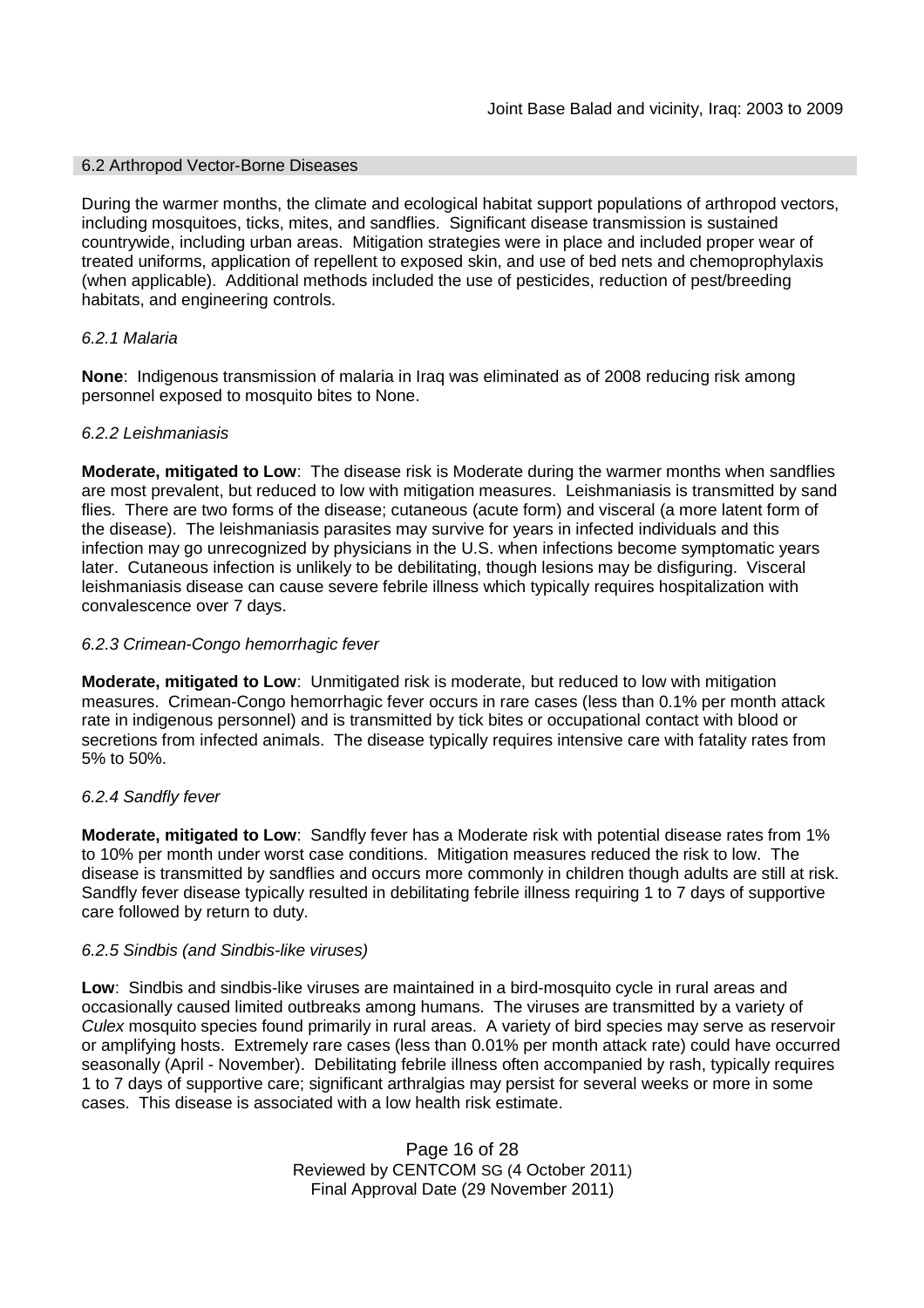#### 6.2 Arthropod Vector-Borne Diseases

During the warmer months, the climate and ecological habitat support populations of arthropod vectors, including mosquitoes, ticks, mites, and sandflies. Significant disease transmission is sustained countrywide, including urban areas. Mitigation strategies were in place and included proper wear of treated uniforms, application of repellent to exposed skin, and use of bed nets and chemoprophylaxis (when applicable). Additional methods included the use of pesticides, reduction of pest/breeding habitats, and engineering controls.

### *6.2.1 Malaria*

**None**: Indigenous transmission of malaria in Iraq was eliminated as of 2008 reducing risk among personnel exposed to mosquito bites to None.

#### *6.2.2 Leishmaniasis*

**Moderate, mitigated to Low**: The disease risk is Moderate during the warmer months when sandflies are most prevalent, but reduced to low with mitigation measures. Leishmaniasis is transmitted by sand flies. There are two forms of the disease; cutaneous (acute form) and visceral (a more latent form of the disease). The leishmaniasis parasites may survive for years in infected individuals and this infection may go unrecognized by physicians in the U.S. when infections become symptomatic years later. Cutaneous infection is unlikely to be debilitating, though lesions may be disfiguring. Visceral leishmaniasis disease can cause severe febrile illness which typically requires hospitalization with convalescence over 7 days.

### *6.2.3 Crimean-Congo hemorrhagic fever*

**Moderate, mitigated to Low**: Unmitigated risk is moderate, but reduced to low with mitigation measures. Crimean-Congo hemorrhagic fever occurs in rare cases (less than 0.1% per month attack rate in indigenous personnel) and is transmitted by tick bites or occupational contact with blood or secretions from infected animals. The disease typically requires intensive care with fatality rates from 5% to 50%.

#### *6.2.4 Sandfly fever*

**Moderate, mitigated to Low**: Sandfly fever has a Moderate risk with potential disease rates from 1% to 10% per month under worst case conditions. Mitigation measures reduced the risk to low. The disease is transmitted by sandflies and occurs more commonly in children though adults are still at risk. Sandfly fever disease typically resulted in debilitating febrile illness requiring 1 to 7 days of supportive care followed by return to duty.

#### *6.2.5 Sindbis (and Sindbis-like viruses)*

**Low**: Sindbis and sindbis-like viruses are maintained in a bird-mosquito cycle in rural areas and occasionally caused limited outbreaks among humans. The viruses are transmitted by a variety of *Culex* mosquito species found primarily in rural areas. A variety of bird species may serve as reservoir or amplifying hosts. Extremely rare cases (less than 0.01% per month attack rate) could have occurred seasonally (April - November). Debilitating febrile illness often accompanied by rash, typically requires 1 to 7 days of supportive care; significant arthralgias may persist for several weeks or more in some cases. This disease is associated with a low health risk estimate.

> Page 16 of 28 Reviewed by CENTCOM SG (4 October 2011) Final Approval Date (29 November 2011)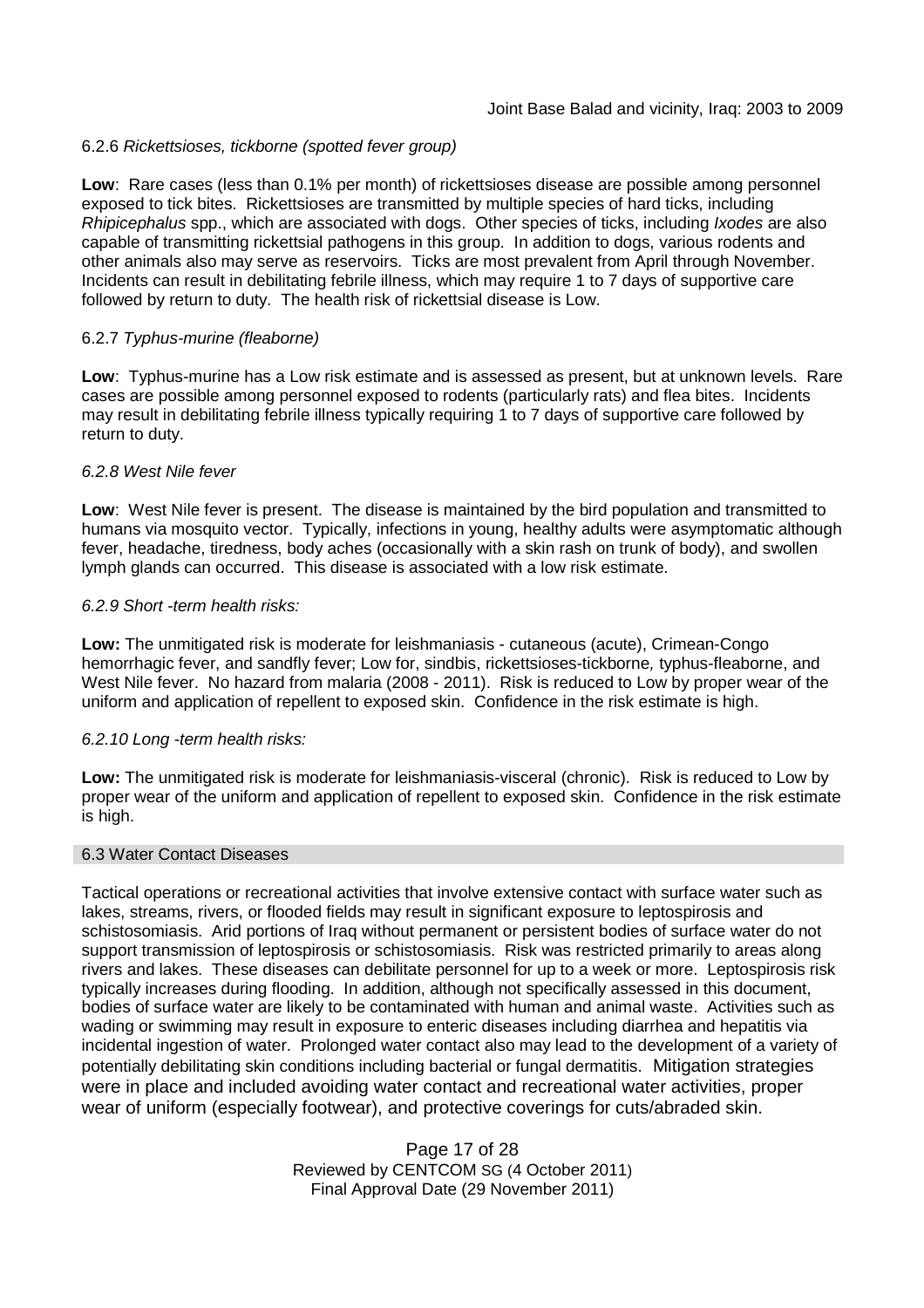### 6.2.6 *Rickettsioses, tickborne (spotted fever group)*

**Low**: Rare cases (less than 0.1% per month) of rickettsioses disease are possible among personnel exposed to tick bites. Rickettsioses are transmitted by multiple species of hard ticks, including *Rhipicephalus* spp., which are associated with dogs. Other species of ticks, including *Ixodes* are also capable of transmitting rickettsial pathogens in this group. In addition to dogs, various rodents and other animals also may serve as reservoirs. Ticks are most prevalent from April through November. Incidents can result in debilitating febrile illness, which may require 1 to 7 days of supportive care followed by return to duty. The health risk of rickettsial disease is Low.

### 6.2.7 *Typhus-murine (fleaborne)*

**Low**: Typhus-murine has a Low risk estimate and is assessed as present, but at unknown levels. Rare cases are possible among personnel exposed to rodents (particularly rats) and flea bites. Incidents may result in debilitating febrile illness typically requiring 1 to 7 days of supportive care followed by return to duty.

#### *6.2.8 West Nile fever*

**Low**: West Nile fever is present. The disease is maintained by the bird population and transmitted to humans via mosquito vector. Typically, infections in young, healthy adults were asymptomatic although fever, headache, tiredness, body aches (occasionally with a skin rash on trunk of body), and swollen lymph glands can occurred. This disease is associated with a low risk estimate.

#### *6.2.9 Short -term health risks:*

**Low:** The unmitigated risk is moderate for leishmaniasis - cutaneous (acute), Crimean-Congo hemorrhagic fever, and sandfly fever; Low for, sindbis, rickettsioses-tickborne*,* typhus-fleaborne, and West Nile fever. No hazard from malaria (2008 - 2011). Risk is reduced to Low by proper wear of the uniform and application of repellent to exposed skin. Confidence in the risk estimate is high.

#### *6.2.10 Long -term health risks:*

**Low:** The unmitigated risk is moderate for leishmaniasis-visceral (chronic). Risk is reduced to Low by proper wear of the uniform and application of repellent to exposed skin. Confidence in the risk estimate is high.

#### 6.3 Water Contact Diseases

Tactical operations or recreational activities that involve extensive contact with surface water such as lakes, streams, rivers, or flooded fields may result in significant exposure to leptospirosis and schistosomiasis. Arid portions of Iraq without permanent or persistent bodies of surface water do not support transmission of leptospirosis or schistosomiasis. Risk was restricted primarily to areas along rivers and lakes. These diseases can debilitate personnel for up to a week or more. Leptospirosis risk typically increases during flooding. In addition, although not specifically assessed in this document, bodies of surface water are likely to be contaminated with human and animal waste. Activities such as wading or swimming may result in exposure to enteric diseases including diarrhea and hepatitis via incidental ingestion of water. Prolonged water contact also may lead to the development of a variety of potentially debilitating skin conditions including bacterial or fungal dermatitis. Mitigation strategies were in place and included avoiding water contact and recreational water activities, proper wear of uniform (especially footwear), and protective coverings for cuts/abraded skin.

> Page 17 of 28 Reviewed by CENTCOM SG (4 October 2011) Final Approval Date (29 November 2011)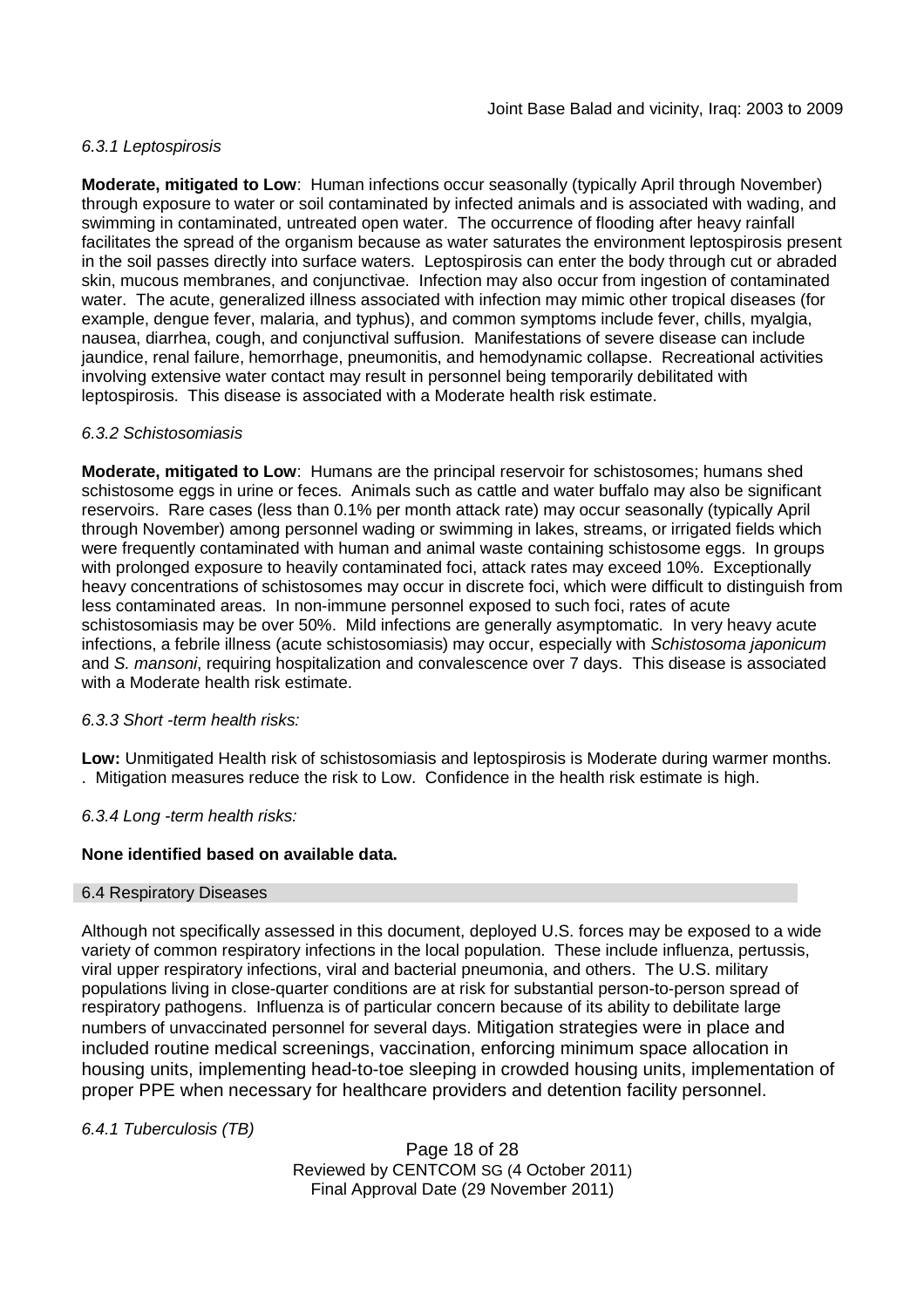### *6.3.1 Leptospirosis*

**Moderate, mitigated to Low**: Human infections occur seasonally (typically April through November) through exposure to water or soil contaminated by infected animals and is associated with wading, and swimming in contaminated, untreated open water. The occurrence of flooding after heavy rainfall facilitates the spread of the organism because as water saturates the environment leptospirosis present in the soil passes directly into surface waters. Leptospirosis can enter the body through cut or abraded skin, mucous membranes, and conjunctivae. Infection may also occur from ingestion of contaminated water. The acute, generalized illness associated with infection may mimic other tropical diseases (for example, dengue fever, malaria, and typhus), and common symptoms include fever, chills, myalgia, nausea, diarrhea, cough, and conjunctival suffusion. Manifestations of severe disease can include jaundice, renal failure, hemorrhage, pneumonitis, and hemodynamic collapse. Recreational activities involving extensive water contact may result in personnel being temporarily debilitated with leptospirosis. This disease is associated with a Moderate health risk estimate.

#### *6.3.2 Schistosomiasis*

**Moderate, mitigated to Low**: Humans are the principal reservoir for schistosomes; humans shed schistosome eggs in urine or feces. Animals such as cattle and water buffalo may also be significant reservoirs. Rare cases (less than 0.1% per month attack rate) may occur seasonally (typically April through November) among personnel wading or swimming in lakes, streams, or irrigated fields which were frequently contaminated with human and animal waste containing schistosome eggs. In groups with prolonged exposure to heavily contaminated foci, attack rates may exceed 10%. Exceptionally heavy concentrations of schistosomes may occur in discrete foci, which were difficult to distinguish from less contaminated areas. In non-immune personnel exposed to such foci, rates of acute schistosomiasis may be over 50%. Mild infections are generally asymptomatic. In very heavy acute infections, a febrile illness (acute schistosomiasis) may occur, especially with *Schistosoma japonicum* and *S. mansoni*, requiring hospitalization and convalescence over 7 days. This disease is associated with a Moderate health risk estimate.

#### *6.3.3 Short -term health risks:*

**Low:** Unmitigated Health risk of schistosomiasis and leptospirosis is Moderate during warmer months. . Mitigation measures reduce the risk to Low. Confidence in the health risk estimate is high.

*6.3.4 Long -term health risks:*

# **None identified based on available data.**

#### 6.4 Respiratory Diseases

Although not specifically assessed in this document, deployed U.S. forces may be exposed to a wide variety of common respiratory infections in the local population. These include influenza, pertussis, viral upper respiratory infections, viral and bacterial pneumonia, and others. The U.S. military populations living in close-quarter conditions are at risk for substantial person-to-person spread of respiratory pathogens. Influenza is of particular concern because of its ability to debilitate large numbers of unvaccinated personnel for several days. Mitigation strategies were in place and included routine medical screenings, vaccination, enforcing minimum space allocation in housing units, implementing head-to-toe sleeping in crowded housing units, implementation of proper PPE when necessary for healthcare providers and detention facility personnel.

*6.4.1 Tuberculosis (TB)*

Page 18 of 28 Reviewed by CENTCOM SG (4 October 2011) Final Approval Date (29 November 2011)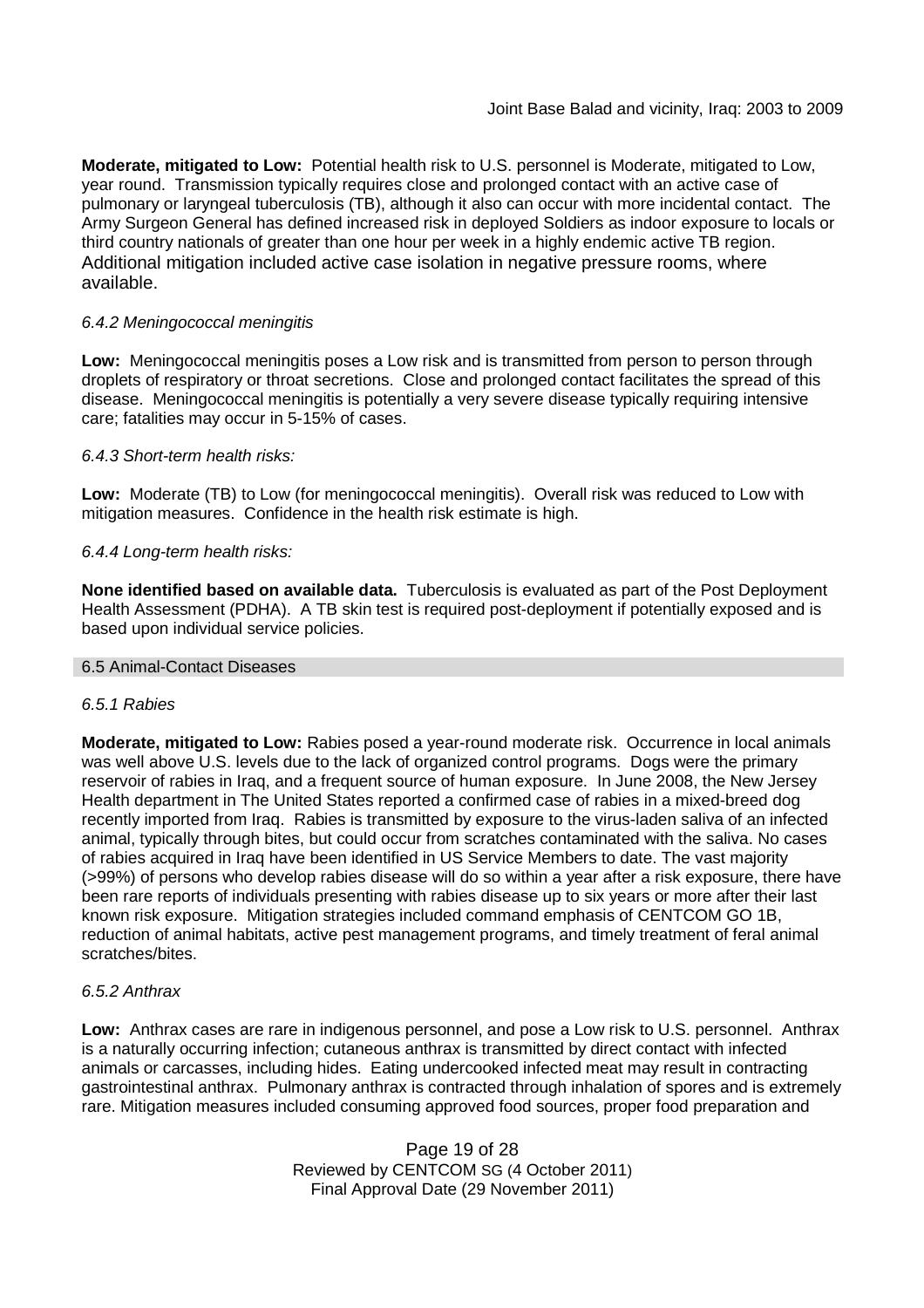**Moderate, mitigated to Low:** Potential health risk to U.S. personnel is Moderate, mitigated to Low, year round. Transmission typically requires close and prolonged contact with an active case of pulmonary or laryngeal tuberculosis (TB), although it also can occur with more incidental contact. The Army Surgeon General has defined increased risk in deployed Soldiers as indoor exposure to locals or third country nationals of greater than one hour per week in a highly endemic active TB region. Additional mitigation included active case isolation in negative pressure rooms, where available.

# *6.4.2 Meningococcal meningitis*

**Low:** Meningococcal meningitis poses a Low risk and is transmitted from person to person through droplets of respiratory or throat secretions. Close and prolonged contact facilitates the spread of this disease. Meningococcal meningitis is potentially a very severe disease typically requiring intensive care; fatalities may occur in 5-15% of cases.

#### *6.4.3 Short-term health risks:*

**Low:** Moderate (TB) to Low (for meningococcal meningitis). Overall risk was reduced to Low with mitigation measures. Confidence in the health risk estimate is high.

### *6.4.4 Long-term health risks:*

**None identified based on available data.** Tuberculosis is evaluated as part of the Post Deployment Health Assessment (PDHA). A TB skin test is required post-deployment if potentially exposed and is based upon individual service policies.

#### 6.5 Animal-Contact Diseases

#### *6.5.1 Rabies*

**Moderate, mitigated to Low:** Rabies posed a year-round moderate risk. Occurrence in local animals was well above U.S. levels due to the lack of organized control programs. Dogs were the primary reservoir of rabies in Iraq, and a frequent source of human exposure. In June 2008, the New Jersey Health department in The United States reported a confirmed case of rabies in a mixed-breed dog recently imported from Iraq. Rabies is transmitted by exposure to the virus-laden saliva of an infected animal, typically through bites, but could occur from scratches contaminated with the saliva. No cases of rabies acquired in Iraq have been identified in US Service Members to date. The vast majority (>99%) of persons who develop rabies disease will do so within a year after a risk exposure, there have been rare reports of individuals presenting with rabies disease up to six years or more after their last known risk exposure. Mitigation strategies included command emphasis of CENTCOM GO 1B, reduction of animal habitats, active pest management programs, and timely treatment of feral animal scratches/bites.

#### *6.5.2 Anthrax*

**Low:** Anthrax cases are rare in indigenous personnel, and pose a Low risk to U.S. personnel. Anthrax is a naturally occurring infection; cutaneous anthrax is transmitted by direct contact with infected animals or carcasses, including hides. Eating undercooked infected meat may result in contracting gastrointestinal anthrax. Pulmonary anthrax is contracted through inhalation of spores and is extremely rare. Mitigation measures included consuming approved food sources, proper food preparation and

> Page 19 of 28 Reviewed by CENTCOM SG (4 October 2011) Final Approval Date (29 November 2011)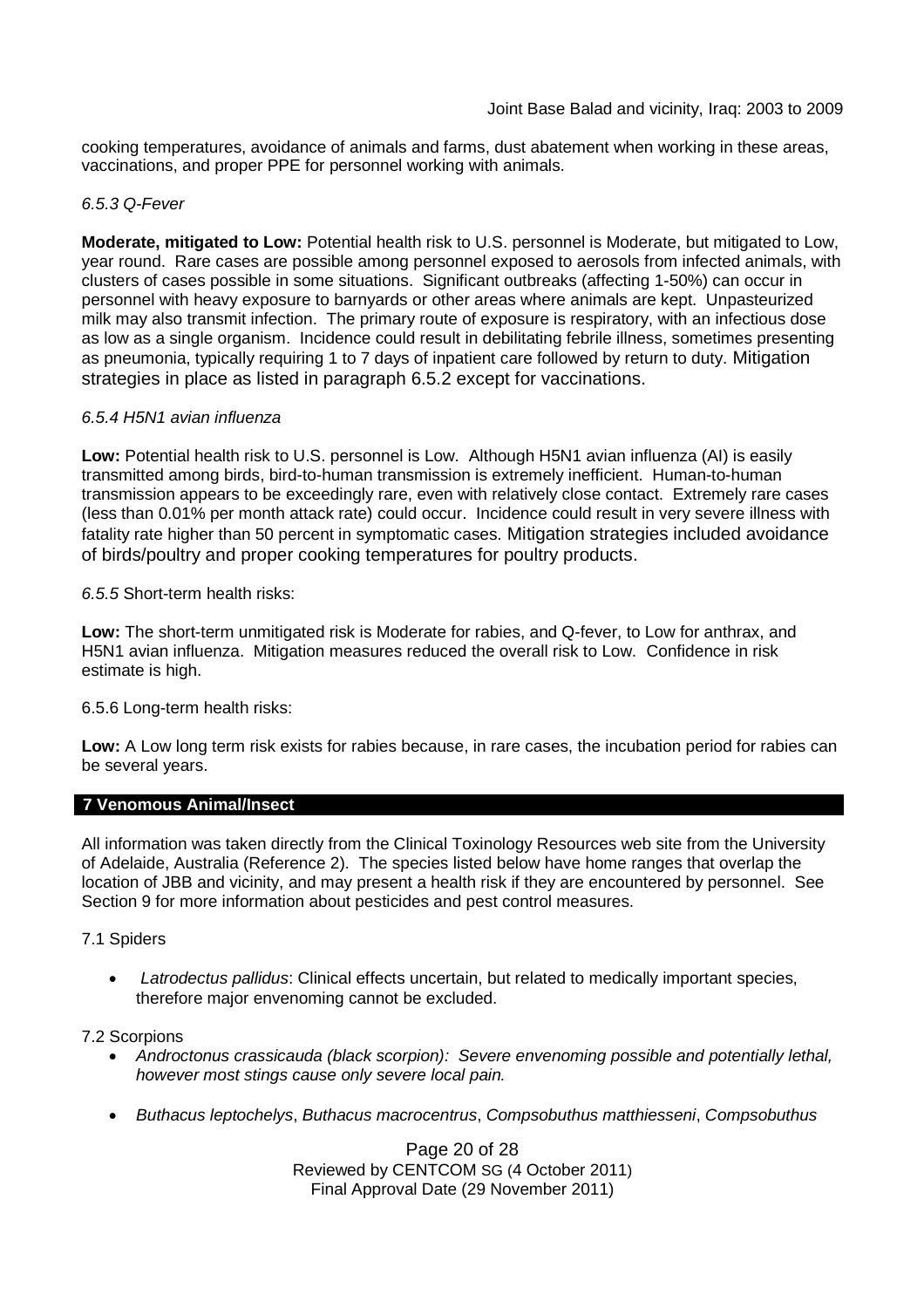cooking temperatures, avoidance of animals and farms, dust abatement when working in these areas, vaccinations, and proper PPE for personnel working with animals.

### *6.5.3 Q-Fever*

**Moderate, mitigated to Low:** Potential health risk to U.S. personnel is Moderate, but mitigated to Low, year round. Rare cases are possible among personnel exposed to aerosols from infected animals, with clusters of cases possible in some situations. Significant outbreaks (affecting 1-50%) can occur in personnel with heavy exposure to barnyards or other areas where animals are kept. Unpasteurized milk may also transmit infection. The primary route of exposure is respiratory, with an infectious dose as low as a single organism. Incidence could result in debilitating febrile illness, sometimes presenting as pneumonia, typically requiring 1 to 7 days of inpatient care followed by return to duty. Mitigation strategies in place as listed in paragraph 6.5.2 except for vaccinations.

#### *6.5.4 H5N1 avian influenza*

**Low:** Potential health risk to U.S. personnel is Low. Although H5N1 avian influenza (AI) is easily transmitted among birds, bird-to-human transmission is extremely inefficient. Human-to-human transmission appears to be exceedingly rare, even with relatively close contact. Extremely rare cases (less than 0.01% per month attack rate) could occur. Incidence could result in very severe illness with fatality rate higher than 50 percent in symptomatic cases. Mitigation strategies included avoidance of birds/poultry and proper cooking temperatures for poultry products.

### *6.5.5* Short-term health risks:

**Low:** The short-term unmitigated risk is Moderate for rabies, and Q-fever, to Low for anthrax, and H5N1 avian influenza. Mitigation measures reduced the overall risk to Low. Confidence in risk estimate is high.

#### 6.5.6 Long-term health risks:

**Low:** A Low long term risk exists for rabies because, in rare cases, the incubation period for rabies can be several years.

#### **7 Venomous Animal/Insect**

All information was taken directly from the Clinical Toxinology Resources web site from the University of Adelaide, Australia (Reference 2). The species listed below have home ranges that overlap the location of JBB and vicinity, and may present a health risk if they are encountered by personnel. See Section 9 for more information about pesticides and pest control measures.

#### 7.1 Spiders

 *Latrodectus pallidus*: Clinical effects uncertain, but related to medically important species, therefore major envenoming cannot be excluded.

7.2 Scorpions

- *Androctonus crassicauda (black scorpion): Severe envenoming possible and potentially lethal, however most stings cause only severe local pain.*
- *Buthacus leptochelys*, *Buthacus macrocentrus*, *Compsobuthus matthiesseni*, *Compsobuthus*

Page 20 of 28 Reviewed by CENTCOM SG (4 October 2011) Final Approval Date (29 November 2011)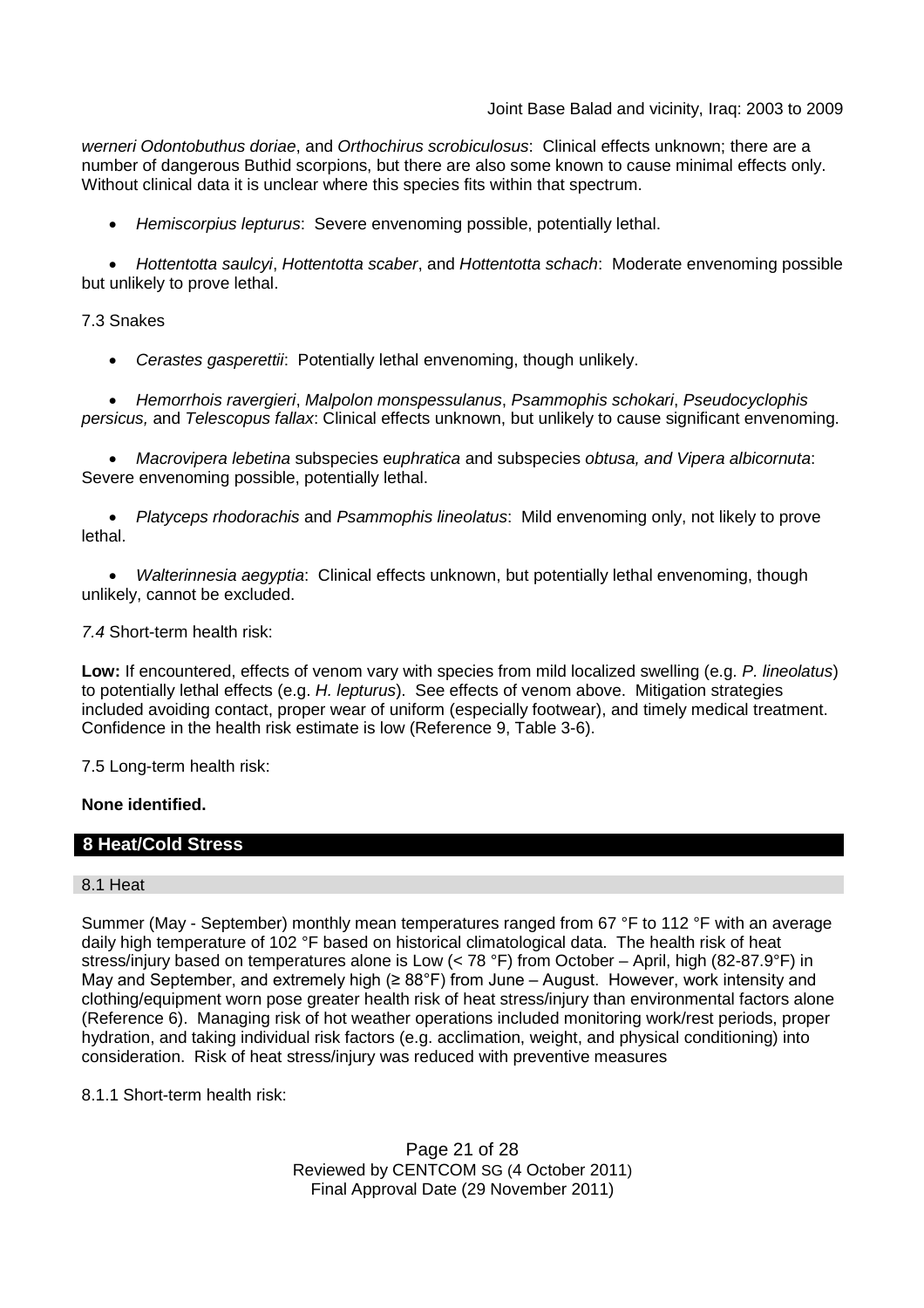*werneri Odontobuthus doriae*, and *Orthochirus scrobiculosus*: Clinical effects unknown; there are a number of dangerous Buthid scorpions, but there are also some known to cause minimal effects only. Without clinical data it is unclear where this species fits within that spectrum.

*Hemiscorpius lepturus*: Severe envenoming possible, potentially lethal.

 *Hottentotta saulcyi*, *Hottentotta scaber*, and *Hottentotta schach*: Moderate envenoming possible but unlikely to prove lethal.

### 7.3 Snakes

*Cerastes gasperettii*: Potentially lethal envenoming, though unlikely.

 *Hemorrhois ravergieri*, *Malpolon monspessulanus*, *Psammophis schokari*, *Pseudocyclophis persicus,* and *Telescopus fallax*: Clinical effects unknown, but unlikely to cause significant envenoming.

 *Macrovipera lebetina* subspecies e*uphratica* and subspecies *obtusa, and Vipera albicornuta*: Severe envenoming possible, potentially lethal.

 *Platyceps rhodorachis* and *Psammophis lineolatus*: Mild envenoming only, not likely to prove lethal.

 *Walterinnesia aegyptia*: Clinical effects unknown, but potentially lethal envenoming, though unlikely, cannot be excluded.

### *7.4* Short-term health risk:

**Low:** If encountered, effects of venom vary with species from mild localized swelling (e.g. *P. lineolatus*) to potentially lethal effects (e.g. *H. lepturus*). See effects of venom above. Mitigation strategies included avoiding contact, proper wear of uniform (especially footwear), and timely medical treatment. Confidence in the health risk estimate is low (Reference 9, Table 3-6).

7.5 Long-term health risk:

# **None identified.**

# **8 Heat/Cold Stress**

#### 8.1 Heat

Summer (May - September) monthly mean temperatures ranged from 67 °F to 112 °F with an average daily high temperature of 102 °F based on historical climatological data. The health risk of heat stress/injury based on temperatures alone is Low (< 78 °F) from October – April, high (82-87.9°F) in May and September, and extremely high ( $\geq 88^{\circ}$ F) from June – August. However, work intensity and clothing/equipment worn pose greater health risk of heat stress/injury than environmental factors alone (Reference 6). Managing risk of hot weather operations included monitoring work/rest periods, proper hydration, and taking individual risk factors (e.g. acclimation, weight, and physical conditioning) into consideration. Risk of heat stress/injury was reduced with preventive measures

8.1.1 Short-term health risk:

Page 21 of 28 Reviewed by CENTCOM SG (4 October 2011) Final Approval Date (29 November 2011)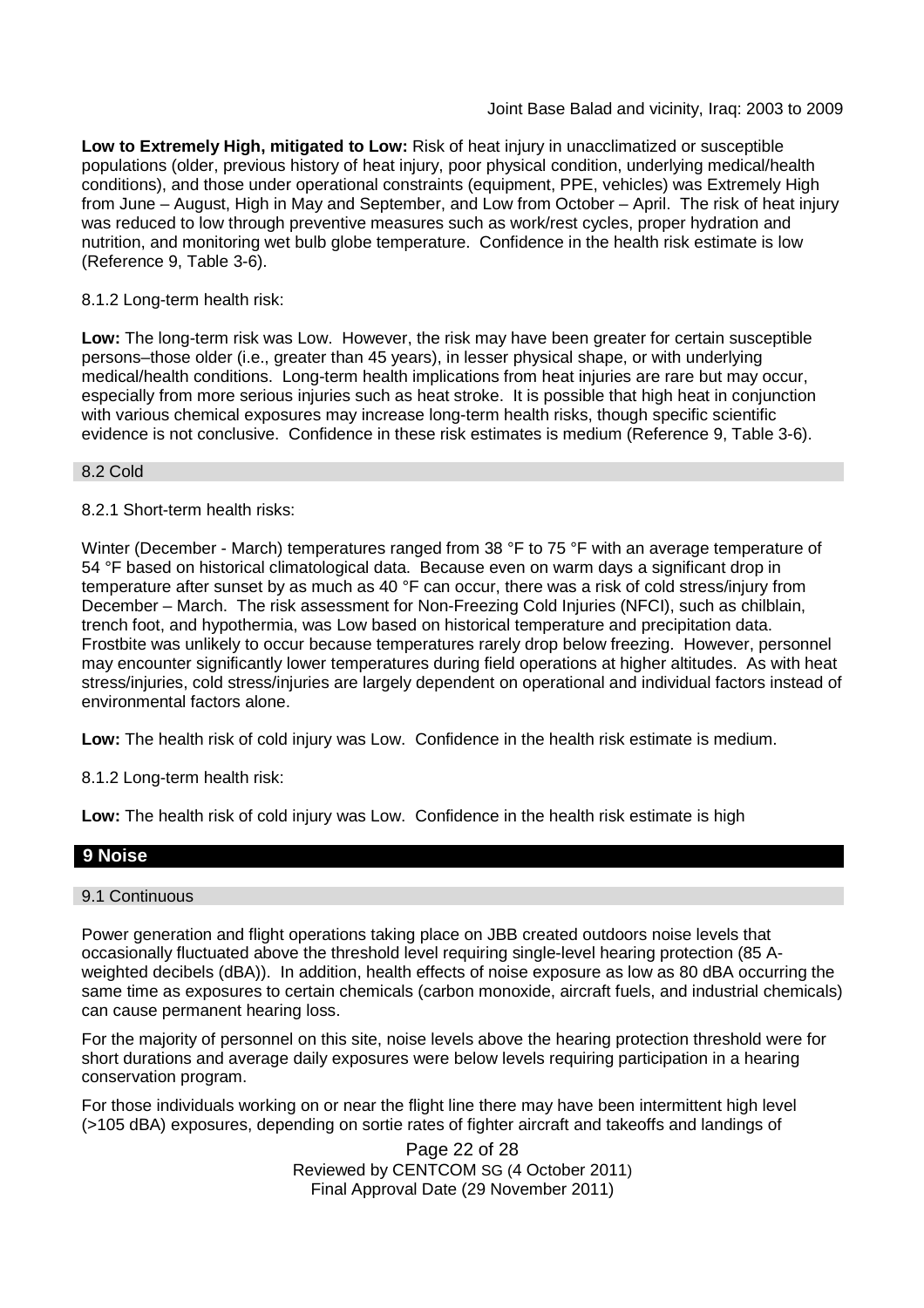**Low to Extremely High, mitigated to Low:** Risk of heat injury in unacclimatized or susceptible populations (older, previous history of heat injury, poor physical condition, underlying medical/health conditions), and those under operational constraints (equipment, PPE, vehicles) was Extremely High from June – August, High in May and September, and Low from October – April. The risk of heat injury was reduced to low through preventive measures such as work/rest cycles, proper hydration and nutrition, and monitoring wet bulb globe temperature. Confidence in the health risk estimate is low (Reference 9, Table 3-6).

#### 8.1.2 Long-term health risk:

**Low:** The long-term risk was Low. However, the risk may have been greater for certain susceptible persons–those older (i.e., greater than 45 years), in lesser physical shape, or with underlying medical/health conditions. Long-term health implications from heat injuries are rare but may occur, especially from more serious injuries such as heat stroke. It is possible that high heat in conjunction with various chemical exposures may increase long-term health risks, though specific scientific evidence is not conclusive. Confidence in these risk estimates is medium (Reference 9, Table 3-6).

#### 8.2 Cold

### 8.2.1 Short-term health risks:

Winter (December - March) temperatures ranged from 38 °F to 75 °F with an average temperature of 54 °F based on historical climatological data. Because even on warm days a significant drop in temperature after sunset by as much as 40 °F can occur, there was a risk of cold stress/injury from December – March. The risk assessment for Non-Freezing Cold Injuries (NFCI), such as chilblain, trench foot, and hypothermia, was Low based on historical temperature and precipitation data. Frostbite was unlikely to occur because temperatures rarely drop below freezing. However, personnel may encounter significantly lower temperatures during field operations at higher altitudes. As with heat stress/injuries, cold stress/injuries are largely dependent on operational and individual factors instead of environmental factors alone.

**Low:** The health risk of cold injury was Low. Confidence in the health risk estimate is medium.

8.1.2 Long-term health risk:

**Low:** The health risk of cold injury was Low. Confidence in the health risk estimate is high

# **9 Noise**

#### 9.1 Continuous

Power generation and flight operations taking place on JBB created outdoors noise levels that occasionally fluctuated above the threshold level requiring single-level hearing protection (85 Aweighted decibels (dBA)). In addition, health effects of noise exposure as low as 80 dBA occurring the same time as exposures to certain chemicals (carbon monoxide, aircraft fuels, and industrial chemicals) can cause permanent hearing loss.

For the majority of personnel on this site, noise levels above the hearing protection threshold were for short durations and average daily exposures were below levels requiring participation in a hearing conservation program.

For those individuals working on or near the flight line there may have been intermittent high level (>105 dBA) exposures, depending on sortie rates of fighter aircraft and takeoffs and landings of

> Page 22 of 28 Reviewed by CENTCOM SG (4 October 2011) Final Approval Date (29 November 2011)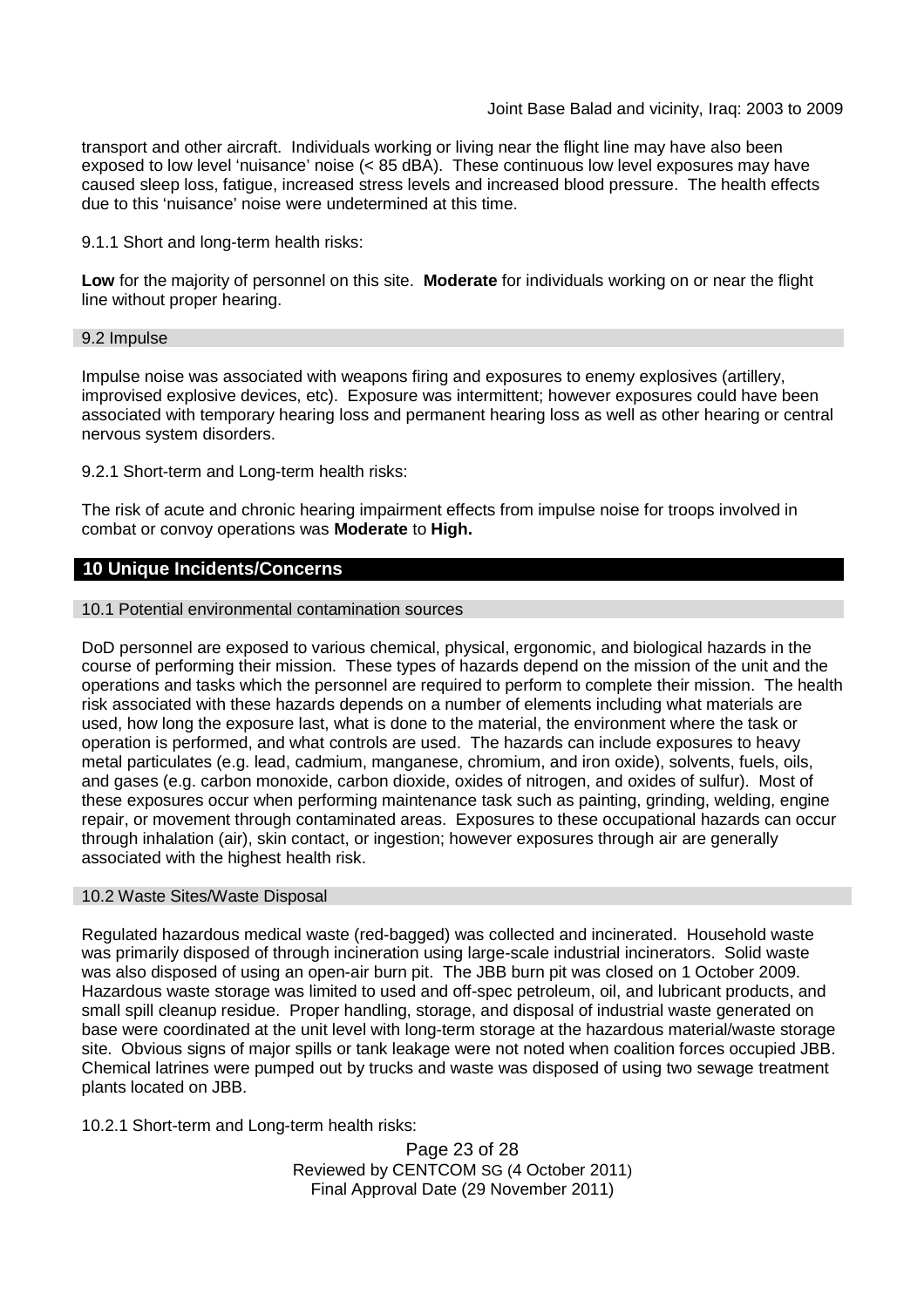Joint Base Balad and vicinity, Iraq: 2003 to 2009

transport and other aircraft. Individuals working or living near the flight line may have also been exposed to low level 'nuisance' noise (< 85 dBA). These continuous low level exposures may have caused sleep loss, fatigue, increased stress levels and increased blood pressure. The health effects due to this 'nuisance' noise were undetermined at this time.

9.1.1 Short and long-term health risks:

**Low** for the majority of personnel on this site. **Moderate** for individuals working on or near the flight line without proper hearing.

#### 9.2 Impulse

Impulse noise was associated with weapons firing and exposures to enemy explosives (artillery, improvised explosive devices, etc). Exposure was intermittent; however exposures could have been associated with temporary hearing loss and permanent hearing loss as well as other hearing or central nervous system disorders.

9.2.1 Short-term and Long-term health risks:

The risk of acute and chronic hearing impairment effects from impulse noise for troops involved in combat or convoy operations was **Moderate** to **High.**

### **10 Unique Incidents/Concerns**

10.1 Potential environmental contamination sources

DoD personnel are exposed to various chemical, physical, ergonomic, and biological hazards in the course of performing their mission. These types of hazards depend on the mission of the unit and the operations and tasks which the personnel are required to perform to complete their mission. The health risk associated with these hazards depends on a number of elements including what materials are used, how long the exposure last, what is done to the material, the environment where the task or operation is performed, and what controls are used. The hazards can include exposures to heavy metal particulates (e.g. lead, cadmium, manganese, chromium, and iron oxide), solvents, fuels, oils, and gases (e.g. carbon monoxide, carbon dioxide, oxides of nitrogen, and oxides of sulfur). Most of these exposures occur when performing maintenance task such as painting, grinding, welding, engine repair, or movement through contaminated areas. Exposures to these occupational hazards can occur through inhalation (air), skin contact, or ingestion; however exposures through air are generally associated with the highest health risk.

#### 10.2 Waste Sites/Waste Disposal

Regulated hazardous medical waste (red-bagged) was collected and incinerated. Household waste was primarily disposed of through incineration using large-scale industrial incinerators. Solid waste was also disposed of using an open-air burn pit. The JBB burn pit was closed on 1 October 2009. Hazardous waste storage was limited to used and off-spec petroleum, oil, and lubricant products, and small spill cleanup residue. Proper handling, storage, and disposal of industrial waste generated on base were coordinated at the unit level with long-term storage at the hazardous material/waste storage site. Obvious signs of major spills or tank leakage were not noted when coalition forces occupied JBB. Chemical latrines were pumped out by trucks and waste was disposed of using two sewage treatment plants located on JBB.

10.2.1 Short-term and Long-term health risks:

Page 23 of 28 Reviewed by CENTCOM SG (4 October 2011) Final Approval Date (29 November 2011)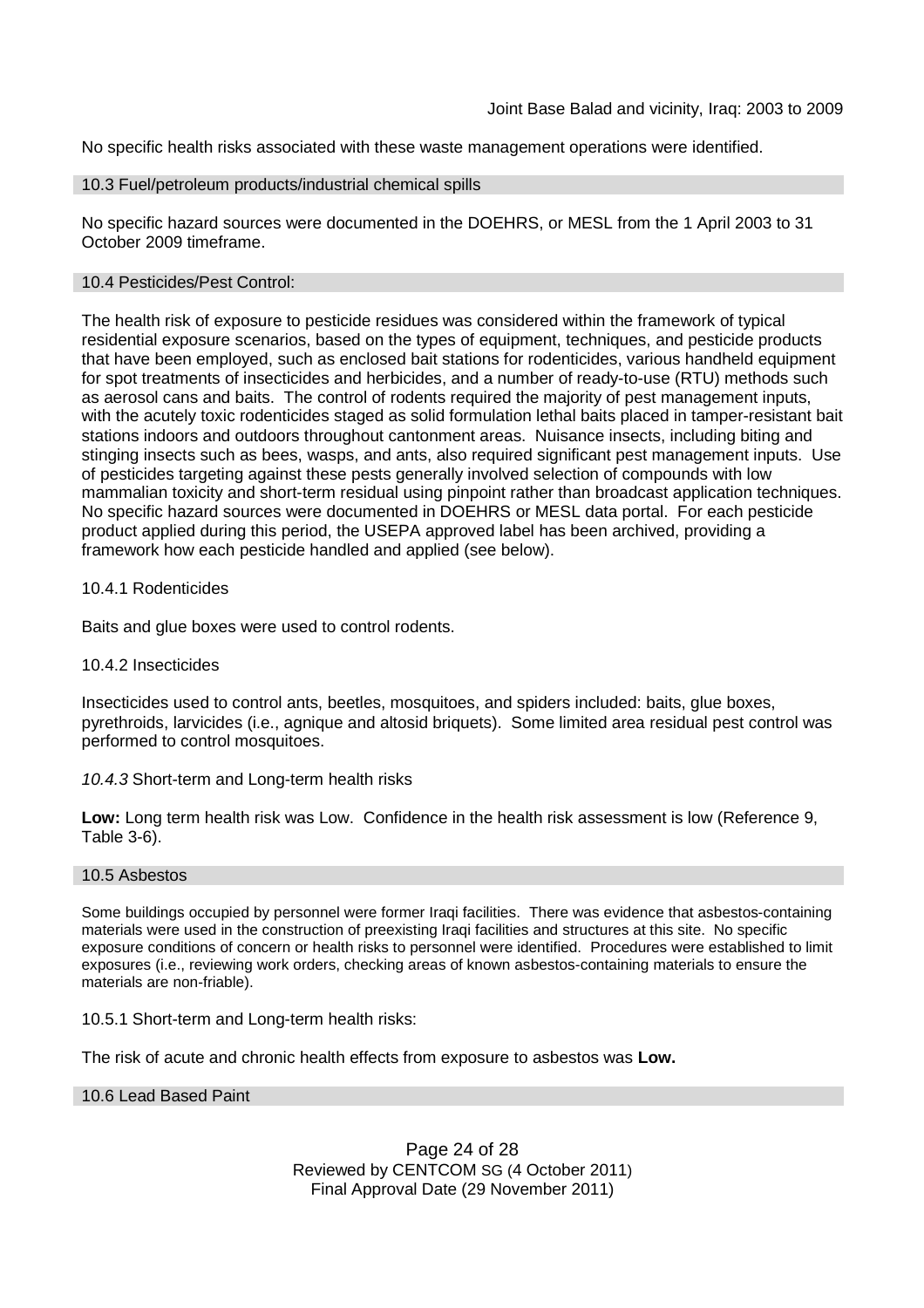No specific health risks associated with these waste management operations were identified.

#### 10.3 Fuel/petroleum products/industrial chemical spills

No specific hazard sources were documented in the DOEHRS, or MESL from the 1 April 2003 to 31 October 2009 timeframe.

### 10.4 Pesticides/Pest Control:

The health risk of exposure to pesticide residues was considered within the framework of typical residential exposure scenarios, based on the types of equipment, techniques, and pesticide products that have been employed, such as enclosed bait stations for rodenticides, various handheld equipment for spot treatments of insecticides and herbicides, and a number of ready-to-use (RTU) methods such as aerosol cans and baits. The control of rodents required the majority of pest management inputs, with the acutely toxic rodenticides staged as solid formulation lethal baits placed in tamper-resistant bait stations indoors and outdoors throughout cantonment areas. Nuisance insects, including biting and stinging insects such as bees, wasps, and ants, also required significant pest management inputs. Use of pesticides targeting against these pests generally involved selection of compounds with low mammalian toxicity and short-term residual using pinpoint rather than broadcast application techniques. No specific hazard sources were documented in DOEHRS or MESL data portal. For each pesticide product applied during this period, the USEPA approved label has been archived, providing a framework how each pesticide handled and applied (see below).

#### 10.4.1 Rodenticides

Baits and glue boxes were used to control rodents.

#### 10.4.2 Insecticides

Insecticides used to control ants, beetles, mosquitoes, and spiders included: baits, glue boxes, pyrethroids, larvicides (i.e., agnique and altosid briquets). Some limited area residual pest control was performed to control mosquitoes.

#### *10.4.3* Short-term and Long-term health risks

**Low:** Long term health risk was Low. Confidence in the health risk assessment is low (Reference 9, Table 3-6).

#### 10.5 Asbestos

Some buildings occupied by personnel were former Iraqi facilities. There was evidence that asbestos-containing materials were used in the construction of preexisting Iraqi facilities and structures at this site. No specific exposure conditions of concern or health risks to personnel were identified. Procedures were established to limit exposures (i.e., reviewing work orders, checking areas of known asbestos-containing materials to ensure the materials are non-friable).

#### 10.5.1 Short-term and Long-term health risks:

The risk of acute and chronic health effects from exposure to asbestos was **Low.**

#### 10.6 Lead Based Paint

Page 24 of 28 Reviewed by CENTCOM SG (4 October 2011) Final Approval Date (29 November 2011)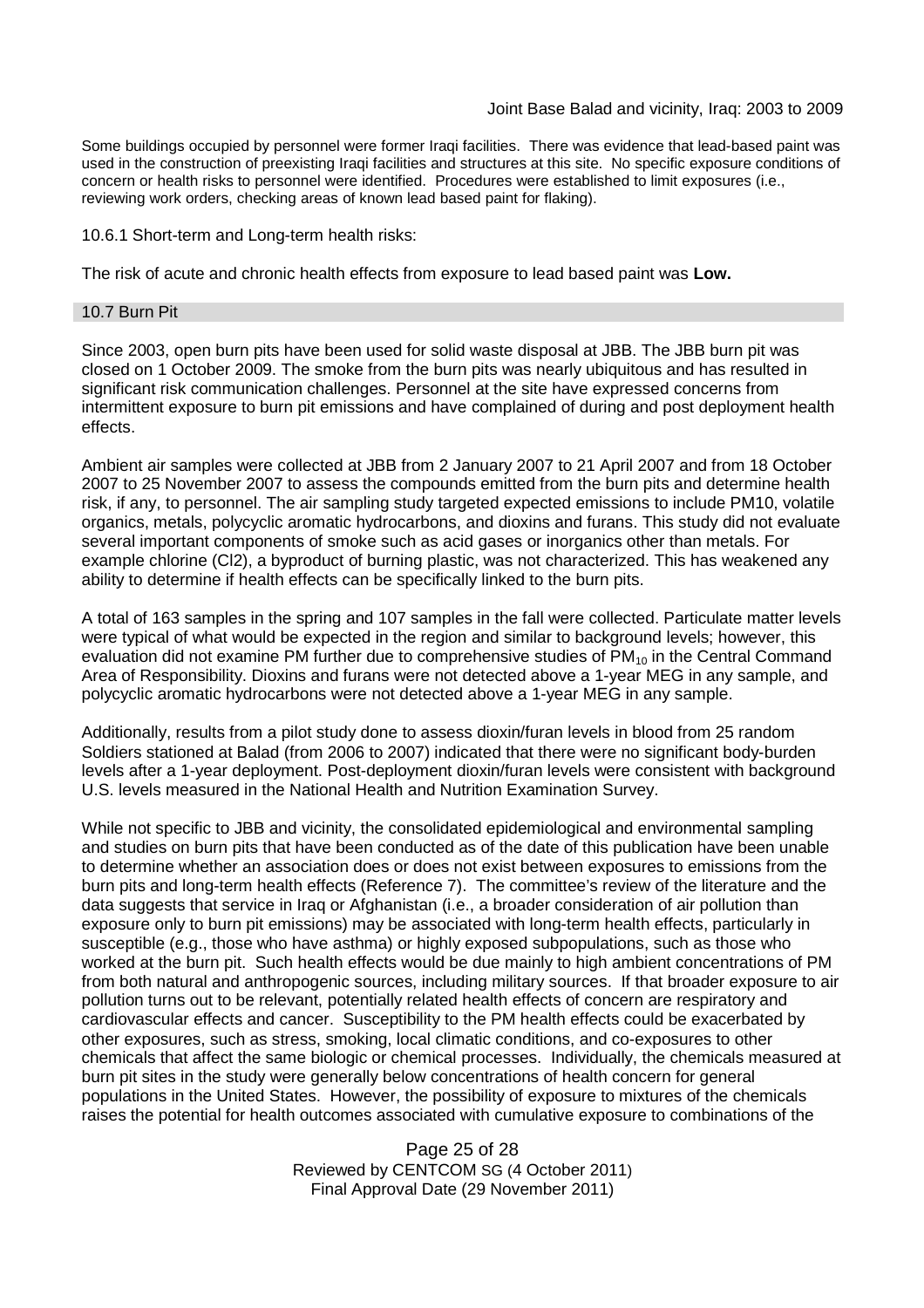Some buildings occupied by personnel were former Iraqi facilities. There was evidence that lead-based paint was used in the construction of preexisting Iraqi facilities and structures at this site. No specific exposure conditions of concern or health risks to personnel were identified. Procedures were established to limit exposures (i.e., reviewing work orders, checking areas of known lead based paint for flaking).

10.6.1 Short-term and Long-term health risks:

The risk of acute and chronic health effects from exposure to lead based paint was **Low.**

#### 10.7 Burn Pit

Since 2003, open burn pits have been used for solid waste disposal at JBB. The JBB burn pit was closed on 1 October 2009. The smoke from the burn pits was nearly ubiquitous and has resulted in significant risk communication challenges. Personnel at the site have expressed concerns from intermittent exposure to burn pit emissions and have complained of during and post deployment health effects.

Ambient air samples were collected at JBB from 2 January 2007 to 21 April 2007 and from 18 October 2007 to 25 November 2007 to assess the compounds emitted from the burn pits and determine health risk, if any, to personnel. The air sampling study targeted expected emissions to include PM10, volatile organics, metals, polycyclic aromatic hydrocarbons, and dioxins and furans. This study did not evaluate several important components of smoke such as acid gases or inorganics other than metals. For example chlorine (Cl2), a byproduct of burning plastic, was not characterized. This has weakened any ability to determine if health effects can be specifically linked to the burn pits.

A total of 163 samples in the spring and 107 samples in the fall were collected. Particulate matter levels were typical of what would be expected in the region and similar to background levels; however, this evaluation did not examine PM further due to comprehensive studies of  $PM<sub>10</sub>$  in the Central Command Area of Responsibility. Dioxins and furans were not detected above a 1-year MEG in any sample, and polycyclic aromatic hydrocarbons were not detected above a 1-year MEG in any sample.

Additionally, results from a pilot study done to assess dioxin/furan levels in blood from 25 random Soldiers stationed at Balad (from 2006 to 2007) indicated that there were no significant body-burden levels after a 1-year deployment. Post-deployment dioxin/furan levels were consistent with background U.S. levels measured in the National Health and Nutrition Examination Survey.

While not specific to JBB and vicinity, the consolidated epidemiological and environmental sampling and studies on burn pits that have been conducted as of the date of this publication have been unable to determine whether an association does or does not exist between exposures to emissions from the burn pits and long-term health effects (Reference 7). The committee's review of the literature and the data suggests that service in Iraq or Afghanistan (i.e., a broader consideration of air pollution than exposure only to burn pit emissions) may be associated with long-term health effects, particularly in susceptible (e.g., those who have asthma) or highly exposed subpopulations, such as those who worked at the burn pit. Such health effects would be due mainly to high ambient concentrations of PM from both natural and anthropogenic sources, including military sources. If that broader exposure to air pollution turns out to be relevant, potentially related health effects of concern are respiratory and cardiovascular effects and cancer. Susceptibility to the PM health effects could be exacerbated by other exposures, such as stress, smoking, local climatic conditions, and co-exposures to other chemicals that affect the same biologic or chemical processes. Individually, the chemicals measured at burn pit sites in the study were generally below concentrations of health concern for general populations in the United States. However, the possibility of exposure to mixtures of the chemicals raises the potential for health outcomes associated with cumulative exposure to combinations of the

> Page 25 of 28 Reviewed by CENTCOM SG (4 October 2011) Final Approval Date (29 November 2011)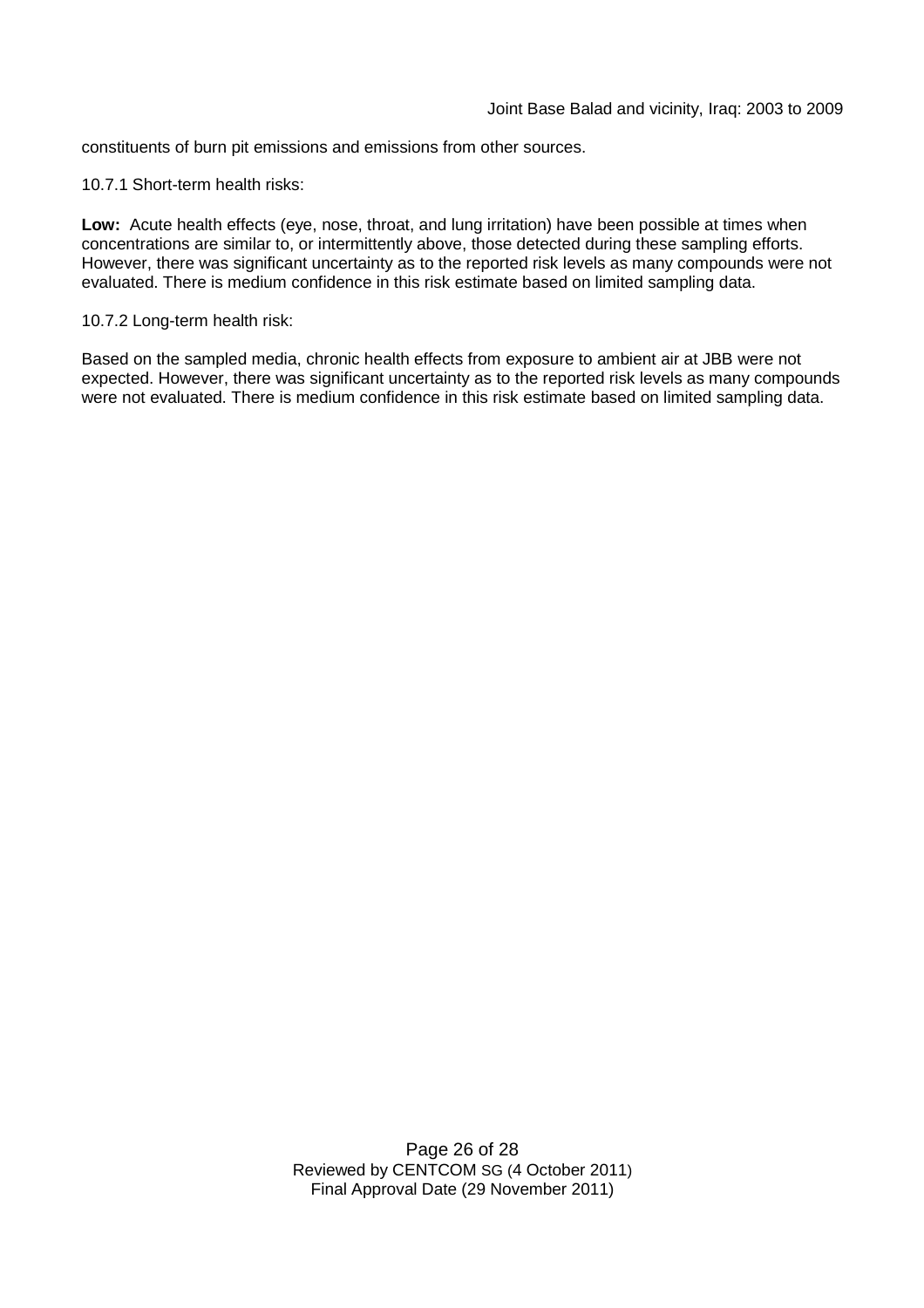constituents of burn pit emissions and emissions from other sources.

10.7.1 Short-term health risks:

**Low:** Acute health effects (eye, nose, throat, and lung irritation) have been possible at times when concentrations are similar to, or intermittently above, those detected during these sampling efforts. However, there was significant uncertainty as to the reported risk levels as many compounds were not evaluated. There is medium confidence in this risk estimate based on limited sampling data.

10.7.2 Long-term health risk:

Based on the sampled media, chronic health effects from exposure to ambient air at JBB were not expected. However, there was significant uncertainty as to the reported risk levels as many compounds were not evaluated. There is medium confidence in this risk estimate based on limited sampling data.

> Page 26 of 28 Reviewed by CENTCOM SG (4 October 2011) Final Approval Date (29 November 2011)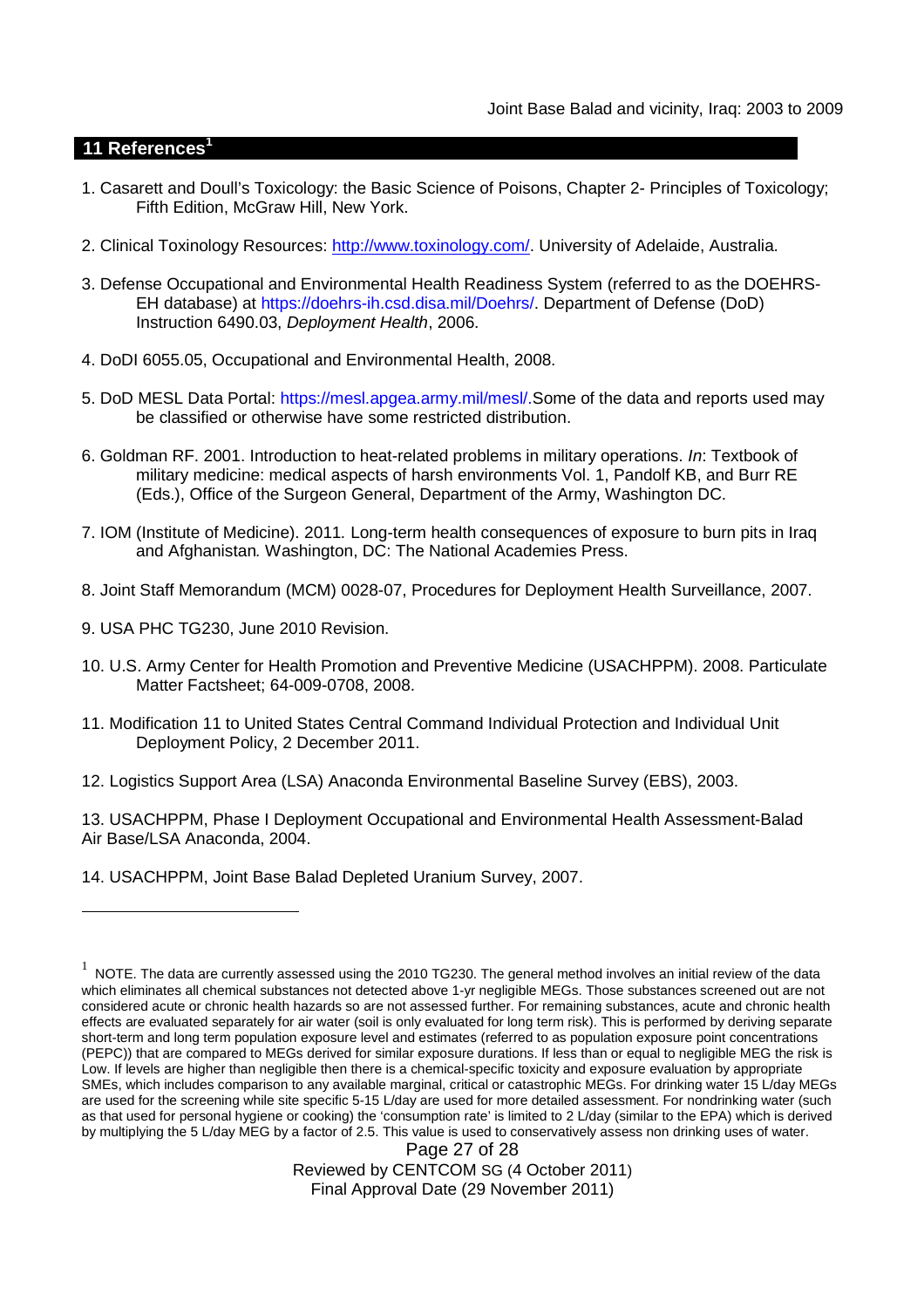# **11 References<sup>1</sup>**

- 1. Casarett and Doull's Toxicology: the Basic Science of Poisons, Chapter 2- Principles of Toxicology; Fifth Edition, McGraw Hill, New York.
- 2. Clinical Toxinology Resources: http://www.toxinology.com/. University of Adelaide, Australia.
- 3. Defense Occupational and Environmental Health Readiness System (referred to as the DOEHRS-EH database) at https://doehrs-ih.csd.disa.mil/Doehrs/. Department of Defense (DoD) Instruction 6490.03, *Deployment Health*, 2006.
- 4. DoDI 6055.05, Occupational and Environmental Health, 2008.
- 5. DoD MESL Data Portal: https://mesl.apgea.army.mil/mesl/.Some of the data and reports used may be classified or otherwise have some restricted distribution.
- 6. Goldman RF. 2001. Introduction to heat-related problems in military operations. *In*: Textbook of military medicine: medical aspects of harsh environments Vol. 1, Pandolf KB, and Burr RE (Eds.), Office of the Surgeon General, Department of the Army, Washington DC.
- 7. IOM (Institute of Medicine). 2011*.* Long-term health consequences of exposure to burn pits in Iraq and Afghanistan*.* Washington, DC: The National Academies Press.
- 8. Joint Staff Memorandum (MCM) 0028-07, Procedures for Deployment Health Surveillance, 2007.
- 9. USA PHC TG230, June 2010 Revision.
- 10. U.S. Army Center for Health Promotion and Preventive Medicine (USACHPPM). 2008. Particulate Matter Factsheet; 64-009-0708, 2008.
- 11. Modification 11 to United States Central Command Individual Protection and Individual Unit Deployment Policy, 2 December 2011.
- 12. Logistics Support Area (LSA) Anaconda Environmental Baseline Survey (EBS), 2003.

13. USACHPPM, Phase I Deployment Occupational and Environmental Health Assessment-Balad Air Base/LSA Anaconda, 2004.

14. USACHPPM, Joint Base Balad Depleted Uranium Survey, 2007.

Page 27 of 28 Reviewed by CENTCOM SG (4 October 2011) Final Approval Date (29 November 2011)

 $^1$  NOTE. The data are currently assessed using the 2010 TG230. The general method involves an initial review of the data which eliminates all chemical substances not detected above 1-yr negligible MEGs. Those substances screened out are not considered acute or chronic health hazards so are not assessed further. For remaining substances, acute and chronic health effects are evaluated separately for air water (soil is only evaluated for long term risk). This is performed by deriving separate short-term and long term population exposure level and estimates (referred to as population exposure point concentrations (PEPC)) that are compared to MEGs derived for similar exposure durations. If less than or equal to negligible MEG the risk is Low. If levels are higher than negligible then there is a chemical-specific toxicity and exposure evaluation by appropriate SMEs, which includes comparison to any available marginal, critical or catastrophic MEGs. For drinking water 15 L/day MEGs are used for the screening while site specific 5-15 L/day are used for more detailed assessment. For nondrinking water (such as that used for personal hygiene or cooking) the 'consumption rate' is limited to 2 L/day (similar to the EPA) which is derived by multiplying the 5 L/day MEG by a factor of 2.5. This value is used to conservatively assess non drinking uses of water.